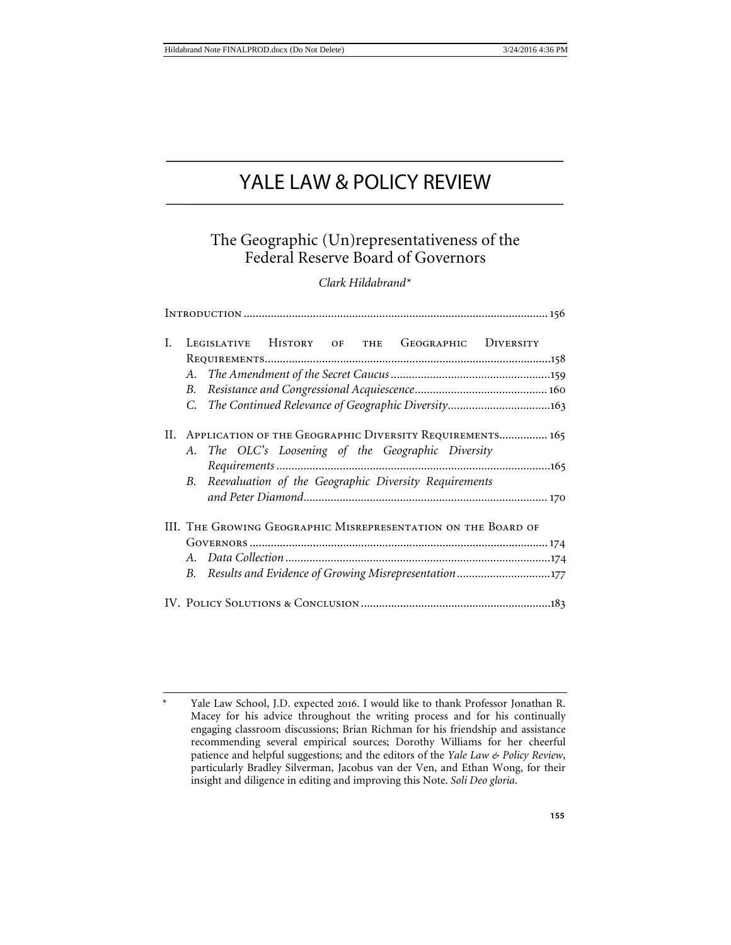# YALE LAW & POLICY REVIEW

## The Geographic (Un)representativeness of the Federal Reserve Board of Governors

## *Clark Hildabrand*[\\*](#page-0-0)

| I. |                                                                                                                    |                                                       |  |  |  | LEGISLATIVE HISTORY OF THE GEOGRAPHIC DIVERSITY |                                                         |  |
|----|--------------------------------------------------------------------------------------------------------------------|-------------------------------------------------------|--|--|--|-------------------------------------------------|---------------------------------------------------------|--|
|    |                                                                                                                    |                                                       |  |  |  |                                                 |                                                         |  |
|    | А.                                                                                                                 |                                                       |  |  |  |                                                 |                                                         |  |
|    | B.                                                                                                                 |                                                       |  |  |  |                                                 |                                                         |  |
|    |                                                                                                                    |                                                       |  |  |  |                                                 |                                                         |  |
|    | II. APPLICATION OF THE GEOGRAPHIC DIVERSITY REQUIREMENTS 165<br>A. The OLC's Loosening of the Geographic Diversity |                                                       |  |  |  |                                                 |                                                         |  |
|    |                                                                                                                    |                                                       |  |  |  |                                                 |                                                         |  |
|    | В.                                                                                                                 | Reevaluation of the Geographic Diversity Requirements |  |  |  |                                                 |                                                         |  |
|    |                                                                                                                    |                                                       |  |  |  |                                                 |                                                         |  |
|    | III. THE GROWING GEOGRAPHIC MISREPRESENTATION ON THE BOARD OF                                                      |                                                       |  |  |  |                                                 |                                                         |  |
|    |                                                                                                                    |                                                       |  |  |  |                                                 |                                                         |  |
|    |                                                                                                                    |                                                       |  |  |  |                                                 |                                                         |  |
|    |                                                                                                                    |                                                       |  |  |  |                                                 | B. Results and Evidence of Growing Misrepresentation177 |  |
|    |                                                                                                                    |                                                       |  |  |  |                                                 |                                                         |  |

<span id="page-0-0"></span>Yale Law School, J.D. expected 2016. I would like to thank Professor Jonathan R. Macey for his advice throughout the writing process and for his continually engaging classroom discussions; Brian Richman for his friendship and assistance recommending several empirical sources; Dorothy Williams for her cheerful patience and helpful suggestions; and the editors of the *Yale Law & Policy Review*, particularly Bradley Silverman, Jacobus van der Ven, and Ethan Wong, for their insight and diligence in editing and improving this Note. *Soli Deo gloria*.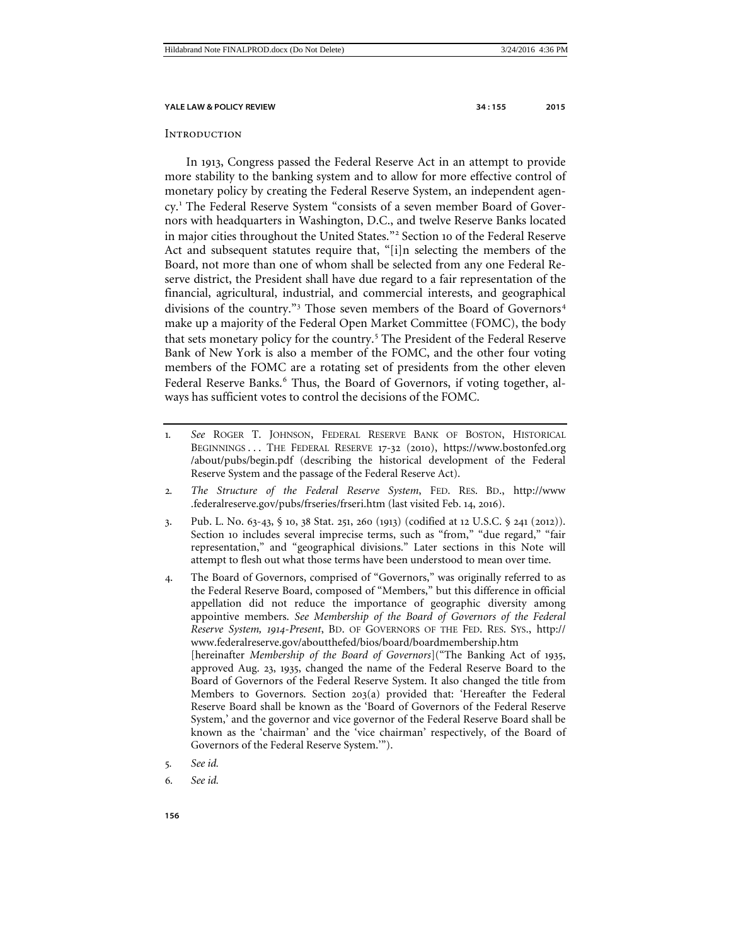<span id="page-1-8"></span>

#### <span id="page-1-0"></span>**INTRODUCTION**

<span id="page-1-7"></span>In 1913, Congress passed the Federal Reserve Act in an attempt to provide more stability to the banking system and to allow for more effective control of monetary policy by creating the Federal Reserve System, an independent agency.[1](#page-1-1) The Federal Reserve System "consists of a seven member Board of Governors with headquarters in Washington, D.C., and twelve Reserve Banks located in major cities throughout the United States."<sup>[2](#page-1-2)</sup> Section 10 of the Federal Reserve Act and subsequent statutes require that, "[i]n selecting the members of the Board, not more than one of whom shall be selected from any one Federal Reserve district, the President shall have due regard to a fair representation of the financial, agricultural, industrial, and commercial interests, and geographical divisions of the country."<sup>[3](#page-1-3)</sup> Those seven members of the Board of Governors<sup>[4](#page-1-4)</sup> make up a majority of the Federal Open Market Committee (FOMC), the body that sets monetary policy for the country.[5](#page-1-5) The President of the Federal Reserve Bank of New York is also a member of the FOMC, and the other four voting members of the FOMC are a rotating set of presidents from the other eleven Federal Reserve Banks.<sup>[6](#page-1-6)</sup> Thus, the Board of Governors, if voting together, always has sufficient votes to control the decisions of the FOMC.

- <span id="page-1-1"></span>1*. See* ROGER T. JOHNSON, FEDERAL RESERVE BANK OF BOSTON, HISTORICAL BEGINNINGS . . . THE FEDERAL RESERVE 17-32 (2010), https://www.bostonfed.org /about/pubs/begin.pdf (describing the historical development of the Federal Reserve System and the passage of the Federal Reserve Act).
- <span id="page-1-2"></span>2*. The Structure of the Federal Reserve System*, FED. RES. BD., http://www .federalreserve.gov/pubs/frseries/frseri.htm (last visited Feb. 14, 2016).
- <span id="page-1-3"></span>3. Pub. L. No. 63-43, § 10, 38 Stat. 251, 260 (1913) (codified at 12 U.S.C. § 241 (2012)). Section 10 includes several imprecise terms, such as "from," "due regard," "fair representation," and "geographical divisions." Later sections in this Note will attempt to flesh out what those terms have been understood to mean over time.
- <span id="page-1-4"></span>4. The Board of Governors, comprised of "Governors," was originally referred to as the Federal Reserve Board, composed of "Members," but this difference in official appellation did not reduce the importance of geographic diversity among appointive members. *See Membership of the Board of Governors of the Federal Reserve System, 1914-Present*, BD. OF GOVERNORS OF THE FED. RES. SYS., http:// www.federalreserve.gov/aboutthefed/bios/board/boardmembership.htm [hereinafter *Membership of the Board of Governors*]("The Banking Act of 1935, approved Aug. 23, 1935, changed the name of the Federal Reserve Board to the Board of Governors of the Federal Reserve System. It also changed the title from Members to Governors. Section 203(a) provided that: 'Hereafter the Federal Reserve Board shall be known as the 'Board of Governors of the Federal Reserve System,' and the governor and vice governor of the Federal Reserve Board shall be known as the 'chairman' and the 'vice chairman' respectively, of the Board of Governors of the Federal Reserve System.'").
- <span id="page-1-5"></span>5*. See id.*
- <span id="page-1-6"></span>6*. See id.*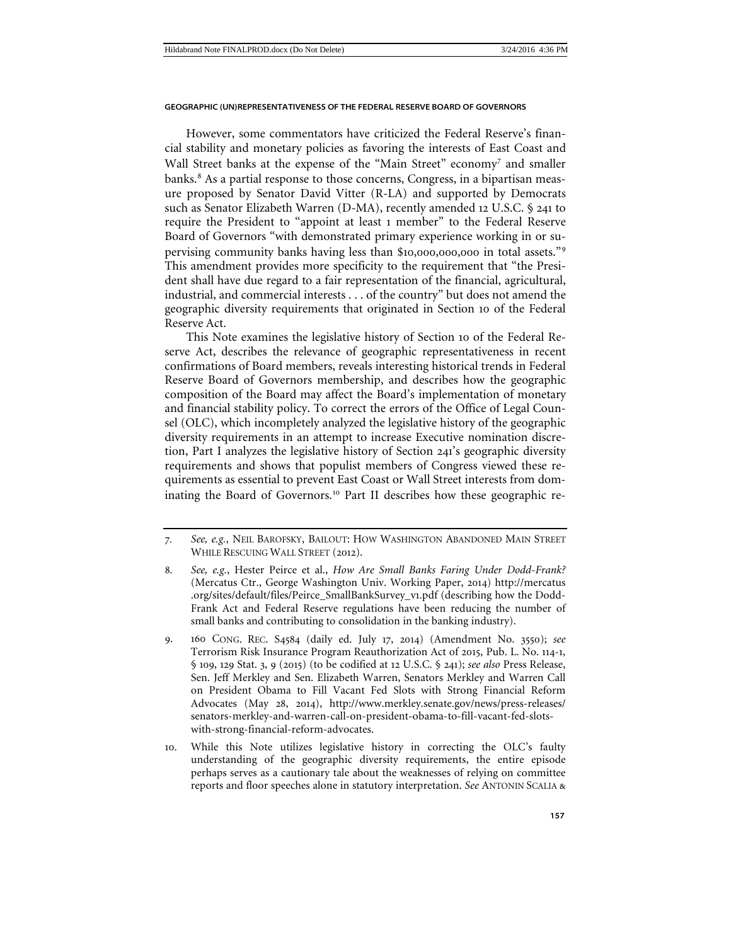However, some commentators have criticized the Federal Reserve's financial stability and monetary policies as favoring the interests of East Coast and Wall Street banks at the expense of the "Main Street" economy<sup>[7](#page-2-0)</sup> and smaller banks.<sup>[8](#page-2-1)</sup> As a partial response to those concerns, Congress, in a bipartisan measure proposed by Senator David Vitter (R-LA) and supported by Democrats such as Senator Elizabeth Warren (D-MA), recently amended 12 U.S.C. § 241 to require the President to "appoint at least 1 member" to the Federal Reserve Board of Governors "with demonstrated primary experience working in or supervising community banks having less than \$10,000,000,000 in total assets."[9](#page-2-2) This amendment provides more specificity to the requirement that "the President shall have due regard to a fair representation of the financial, agricultural, industrial, and commercial interests . . . of the country" but does not amend the geographic diversity requirements that originated in Section 10 of the Federal Reserve Act.

This Note examines the legislative history of Section 10 of the Federal Reserve Act, describes the relevance of geographic representativeness in recent confirmations of Board members, reveals interesting historical trends in Federal Reserve Board of Governors membership, and describes how the geographic composition of the Board may affect the Board's implementation of monetary and financial stability policy. To correct the errors of the Office of Legal Counsel (OLC), which incompletely analyzed the legislative history of the geographic diversity requirements in an attempt to increase Executive nomination discretion, Part I analyzes the legislative history of Section 241's geographic diversity requirements and shows that populist members of Congress viewed these requirements as essential to prevent East Coast or Wall Street interests from dom-inating the Board of Governors.<sup>[10](#page-2-3)</sup> Part II describes how these geographic re-

<span id="page-2-0"></span><sup>7</sup>*. See, e.g.*, NEIL BAROFSKY, BAILOUT: HOW WASHINGTON ABANDONED MAIN STREET WHILE RESCUING WALL STREET (2012).

<span id="page-2-1"></span><sup>8</sup>*. See, e.g.*, Hester Peirce et al., *How Are Small Banks Faring Under Dodd-Frank?* (Mercatus Ctr., George Washington Univ. Working Paper, 2014) http://mercatus .org/sites/default/files/Peirce\_SmallBankSurvey\_v1.pdf (describing how the Dodd-Frank Act and Federal Reserve regulations have been reducing the number of small banks and contributing to consolidation in the banking industry).

<span id="page-2-2"></span><sup>9</sup>. 160 CONG. REC. S4584 (daily ed. July 17, 2014) (Amendment No. 3550); *see*  Terrorism Risk Insurance Program Reauthorization Act of 2015, Pub. L. No. 114-1, § 109, 129 Stat. 3, 9 (2015) (to be codified at 12 U.S.C. § 241); *see also* Press Release, Sen. Jeff Merkley and Sen. Elizabeth Warren, Senators Merkley and Warren Call on President Obama to Fill Vacant Fed Slots with Strong Financial Reform Advocates (May 28, 2014), http://www.merkley.senate.gov/news/press-releases/ senators-merkley-and-warren-call-on-president-obama-to-fill-vacant-fed-slotswith-strong-financial-reform-advocates.

<span id="page-2-3"></span><sup>10</sup>. While this Note utilizes legislative history in correcting the OLC's faulty understanding of the geographic diversity requirements, the entire episode perhaps serves as a cautionary tale about the weaknesses of relying on committee reports and floor speeches alone in statutory interpretation. *See* ANTONIN SCALIA &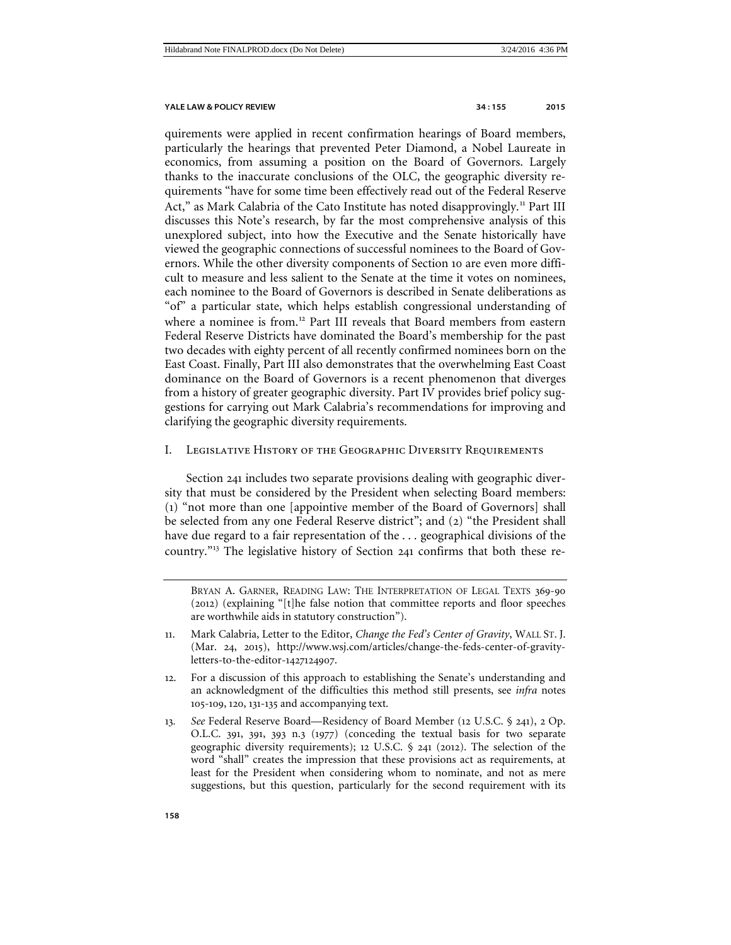quirements were applied in recent confirmation hearings of Board members, particularly the hearings that prevented Peter Diamond, a Nobel Laureate in economics, from assuming a position on the Board of Governors. Largely thanks to the inaccurate conclusions of the OLC, the geographic diversity requirements "have for some time been effectively read out of the Federal Reserve Act," as Mark Calabria of the Cato Institute has noted disapprovingly.<sup>[11](#page-3-1)</sup> Part III discusses this Note's research, by far the most comprehensive analysis of this unexplored subject, into how the Executive and the Senate historically have viewed the geographic connections of successful nominees to the Board of Governors. While the other diversity components of Section 10 are even more difficult to measure and less salient to the Senate at the time it votes on nominees, each nominee to the Board of Governors is described in Senate deliberations as "of" a particular state, which helps establish congressional understanding of where a nominee is from.<sup>[12](#page-3-2)</sup> Part III reveals that Board members from eastern Federal Reserve Districts have dominated the Board's membership for the past two decades with eighty percent of all recently confirmed nominees born on the East Coast. Finally, Part III also demonstrates that the overwhelming East Coast dominance on the Board of Governors is a recent phenomenon that diverges from a history of greater geographic diversity. Part IV provides brief policy suggestions for carrying out Mark Calabria's recommendations for improving and clarifying the geographic diversity requirements.

#### <span id="page-3-0"></span>I. Legislative History of the Geographic Diversity Requirements

Section 241 includes two separate provisions dealing with geographic diversity that must be considered by the President when selecting Board members: (1) "not more than one [appointive member of the Board of Governors] shall be selected from any one Federal Reserve district"; and (2) "the President shall have due regard to a fair representation of the . . . geographical divisions of the country."[13](#page-3-3) The legislative history of Section 241 confirms that both these re-

BRYAN A. GARNER, READING LAW: THE INTERPRETATION OF LEGAL TEXTS 369-90 (2012) (explaining "[t]he false notion that committee reports and floor speeches are worthwhile aids in statutory construction").

- <span id="page-3-1"></span>11. Mark Calabria, Letter to the Editor, *Change the Fed's Center of Gravity*, WALL ST. J. (Mar. 24, 2015), http://www.wsj.com/articles/change-the-feds-center-of-gravityletters-to-the-editor-1427124907.
- <span id="page-3-2"></span>12. For a discussion of this approach to establishing the Senate's understanding and an acknowledgment of the difficulties this method still presents, see *infra* notes 105-109, 120, 131-135 and accompanying text.
- <span id="page-3-3"></span>13*. See* Federal Reserve Board—Residency of Board Member (12 U.S.C. § 241), 2 Op. O.L.C. 391, 391, 393 n.3 (1977) (conceding the textual basis for two separate geographic diversity requirements); 12 U.S.C. § 241 (2012). The selection of the word "shall" creates the impression that these provisions act as requirements, at least for the President when considering whom to nominate, and not as mere suggestions, but this question, particularly for the second requirement with its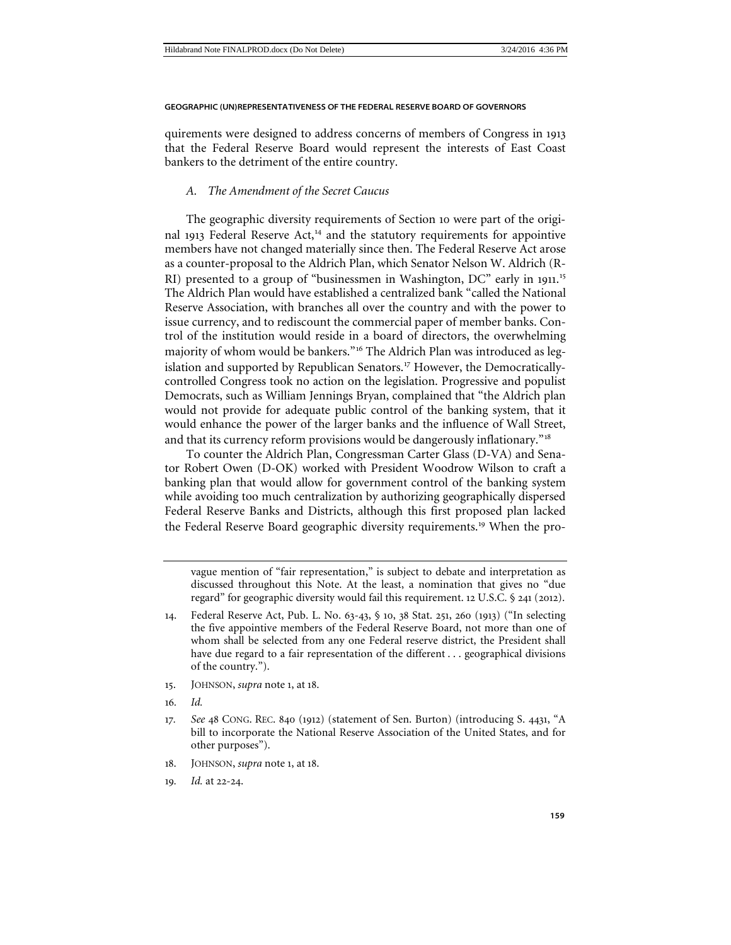quirements were designed to address concerns of members of Congress in 1913 that the Federal Reserve Board would represent the interests of East Coast bankers to the detriment of the entire country.

### <span id="page-4-0"></span>*A. The Amendment of the Secret Caucus*

The geographic diversity requirements of Section 10 were part of the origi-nal 1913 Federal Reserve Act,<sup>[14](#page-4-1)</sup> and the statutory requirements for appointive members have not changed materially since then. The Federal Reserve Act arose as a counter-proposal to the Aldrich Plan, which Senator Nelson W. Aldrich (R-RI) presented to a group of "businessmen in Washington, DC" early in 1911.<sup>[15](#page-4-2)</sup> The Aldrich Plan would have established a centralized bank "called the National Reserve Association, with branches all over the country and with the power to issue currency, and to rediscount the commercial paper of member banks. Control of the institution would reside in a board of directors, the overwhelming majority of whom would be bankers."<sup>[16](#page-4-3)</sup> The Aldrich Plan was introduced as leg-islation and supported by Republican Senators.<sup>[17](#page-4-4)</sup> However, the Democraticallycontrolled Congress took no action on the legislation. Progressive and populist Democrats, such as William Jennings Bryan, complained that "the Aldrich plan would not provide for adequate public control of the banking system, that it would enhance the power of the larger banks and the influence of Wall Street, and that its currency reform provisions would be dangerously inflationary."[18](#page-4-5)

To counter the Aldrich Plan, Congressman Carter Glass (D-VA) and Senator Robert Owen (D-OK) worked with President Woodrow Wilson to craft a banking plan that would allow for government control of the banking system while avoiding too much centralization by authorizing geographically dispersed Federal Reserve Banks and Districts, although this first proposed plan lacked the Federal Reserve Board geographic diversity requirements.[19](#page-4-6) When the pro-

vague mention of "fair representation," is subject to debate and interpretation as discussed throughout this Note. At the least, a nomination that gives no "due regard" for geographic diversity would fail this requirement. 12 U.S.C. § 241 (2012).

- <span id="page-4-3"></span><span id="page-4-2"></span>15. JOHNSON, *supra* note 1, at 18.
- 16*. Id.*
- <span id="page-4-4"></span>17*. See* 48 CONG. REC. 840 (1912) (statement of Sen. Burton) (introducing S. 4431, "A bill to incorporate the National Reserve Association of the United States, and for other purposes").
- <span id="page-4-6"></span><span id="page-4-5"></span>18. JOHNSON, *supra* note 1, at 18.
- 19*. Id.* at 22-24.

<span id="page-4-1"></span><sup>14</sup>. Federal Reserve Act, Pub. L. No. 63-43, § 10, 38 Stat. 251, 260 (1913) ("In selecting the five appointive members of the Federal Reserve Board, not more than one of whom shall be selected from any one Federal reserve district, the President shall have due regard to a fair representation of the different . . . geographical divisions of the country.").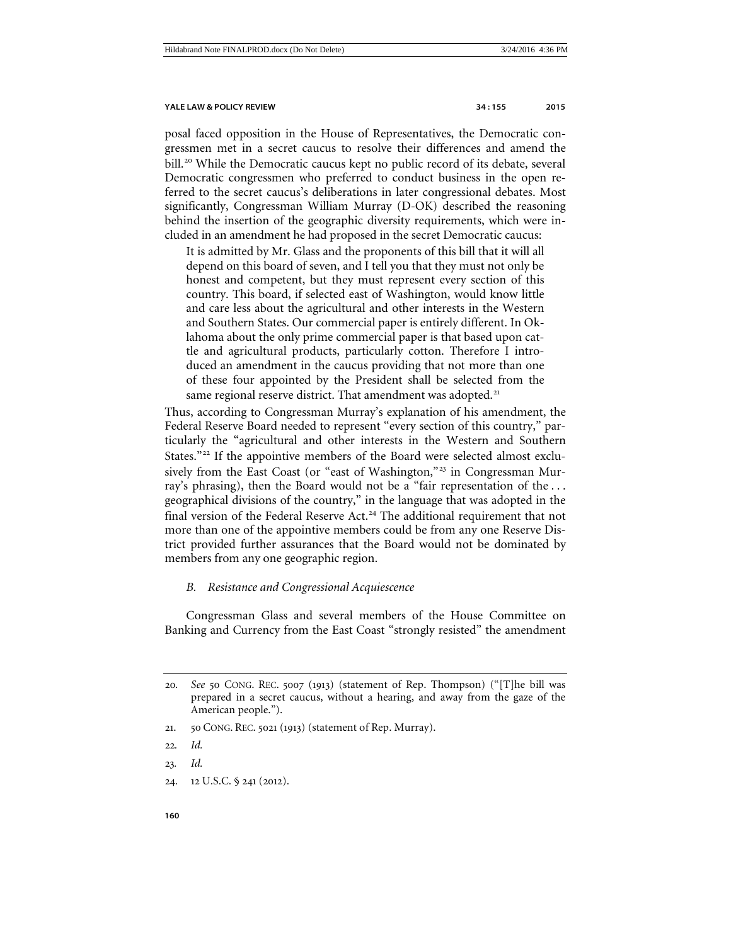posal faced opposition in the House of Representatives, the Democratic congressmen met in a secret caucus to resolve their differences and amend the bill.<sup>[20](#page-5-1)</sup> While the Democratic caucus kept no public record of its debate, several Democratic congressmen who preferred to conduct business in the open referred to the secret caucus's deliberations in later congressional debates. Most significantly, Congressman William Murray (D-OK) described the reasoning behind the insertion of the geographic diversity requirements, which were included in an amendment he had proposed in the secret Democratic caucus:

It is admitted by Mr. Glass and the proponents of this bill that it will all depend on this board of seven, and I tell you that they must not only be honest and competent, but they must represent every section of this country. This board, if selected east of Washington, would know little and care less about the agricultural and other interests in the Western and Southern States. Our commercial paper is entirely different. In Oklahoma about the only prime commercial paper is that based upon cattle and agricultural products, particularly cotton. Therefore I introduced an amendment in the caucus providing that not more than one of these four appointed by the President shall be selected from the same regional reserve district. That amendment was adopted.<sup>[21](#page-5-2)</sup>

Thus, according to Congressman Murray's explanation of his amendment, the Federal Reserve Board needed to represent "every section of this country," particularly the "agricultural and other interests in the Western and Southern States."[22](#page-5-3) If the appointive members of the Board were selected almost exclu-sively from the East Coast (or "east of Washington,"<sup>[23](#page-5-4)</sup> in Congressman Murray's phrasing), then the Board would not be a "fair representation of the . . . geographical divisions of the country," in the language that was adopted in the final version of the Federal Reserve Act.<sup>[24](#page-5-5)</sup> The additional requirement that not more than one of the appointive members could be from any one Reserve District provided further assurances that the Board would not be dominated by members from any one geographic region.

### <span id="page-5-0"></span>*B. Resistance and Congressional Acquiescence*

Congressman Glass and several members of the House Committee on Banking and Currency from the East Coast "strongly resisted" the amendment

- <span id="page-5-2"></span>21. 50 CONG. REC. 5021 (1913) (statement of Rep. Murray).
- <span id="page-5-3"></span>22*. Id.*
- <span id="page-5-4"></span>23*. Id.*
- <span id="page-5-5"></span>24. 12 U.S.C. § 241 (2012).

<span id="page-5-1"></span><sup>20</sup>*. See* 50 CONG. REC. 5007 (1913) (statement of Rep. Thompson) ("[T]he bill was prepared in a secret caucus, without a hearing, and away from the gaze of the American people.").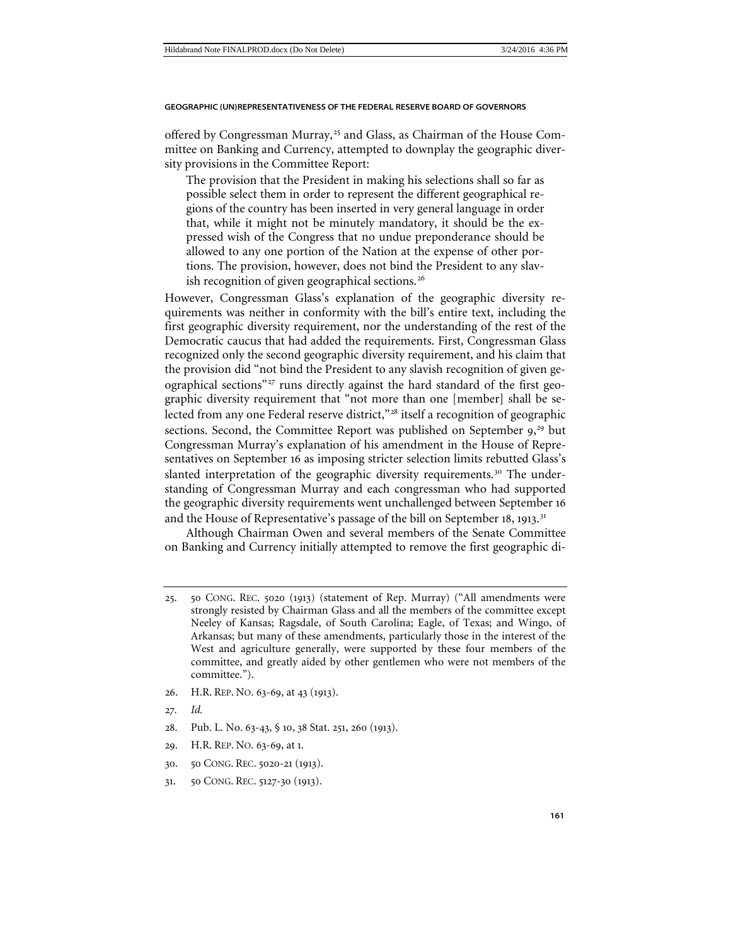offered by Congressman Murray,<sup>[25](#page-6-0)</sup> and Glass, as Chairman of the House Committee on Banking and Currency, attempted to downplay the geographic diversity provisions in the Committee Report:

The provision that the President in making his selections shall so far as possible select them in order to represent the different geographical regions of the country has been inserted in very general language in order that, while it might not be minutely mandatory, it should be the expressed wish of the Congress that no undue preponderance should be allowed to any one portion of the Nation at the expense of other portions. The provision, however, does not bind the President to any slav-ish recognition of given geographical sections.<sup>[26](#page-6-1)</sup>

However, Congressman Glass's explanation of the geographic diversity requirements was neither in conformity with the bill's entire text, including the first geographic diversity requirement, nor the understanding of the rest of the Democratic caucus that had added the requirements. First, Congressman Glass recognized only the second geographic diversity requirement, and his claim that the provision did "not bind the President to any slavish recognition of given ge-ographical sections"<sup>[27](#page-6-2)</sup> runs directly against the hard standard of the first geographic diversity requirement that "not more than one [member] shall be selected from any one Federal reserve district,"[28](#page-6-3) itself a recognition of geographic sections. Second, the Committee Report was published on September 9,<sup>[29](#page-6-4)</sup> but Congressman Murray's explanation of his amendment in the House of Representatives on September 16 as imposing stricter selection limits rebutted Glass's slanted interpretation of the geographic diversity requirements.<sup>[30](#page-6-5)</sup> The understanding of Congressman Murray and each congressman who had supported the geographic diversity requirements went unchallenged between September 16 and the House of Representative's passage of the bill on September 18, 1913.<sup>[31](#page-6-6)</sup>

Although Chairman Owen and several members of the Senate Committee on Banking and Currency initially attempted to remove the first geographic di-

- <span id="page-6-1"></span>26. H.R. REP. NO. 63-69, at 43 (1913).
- <span id="page-6-2"></span>27*. Id.*
- <span id="page-6-3"></span>28. Pub. L. No. 63-43, § 10, 38 Stat. 251, 260 (1913).
- <span id="page-6-4"></span>29. H.R. REP. NO. 63-69, at 1.
- <span id="page-6-5"></span>30. 50 CONG. REC. 5020-21 (1913).
- <span id="page-6-6"></span>31. 50 CONG. REC. 5127-30 (1913).

<span id="page-6-0"></span><sup>25</sup>. 50 CONG. REC. 5020 (1913) (statement of Rep. Murray) ("All amendments were strongly resisted by Chairman Glass and all the members of the committee except Neeley of Kansas; Ragsdale, of South Carolina; Eagle, of Texas; and Wingo, of Arkansas; but many of these amendments, particularly those in the interest of the West and agriculture generally, were supported by these four members of the committee, and greatly aided by other gentlemen who were not members of the committee.").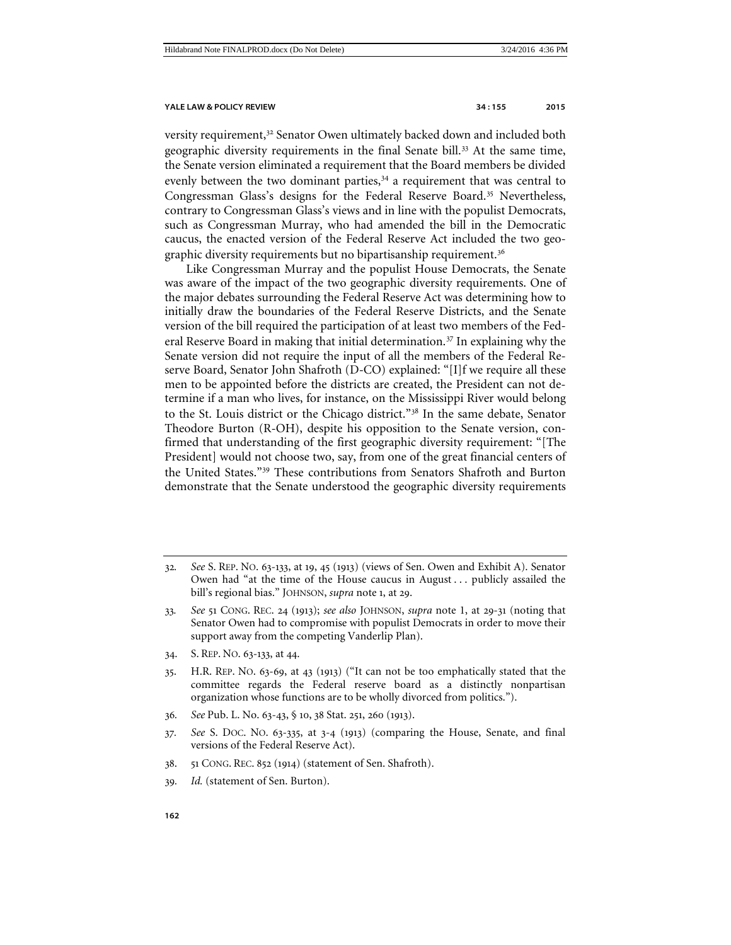versity requirement,<sup>[32](#page-7-0)</sup> Senator Owen ultimately backed down and included both geographic diversity requirements in the final Senate bill.<sup>[33](#page-7-1)</sup> At the same time, the Senate version eliminated a requirement that the Board members be divided evenly between the two dominant parties, $34$  a requirement that was central to Congressman Glass's designs for the Federal Reserve Board.<sup>[35](#page-7-3)</sup> Nevertheless, contrary to Congressman Glass's views and in line with the populist Democrats, such as Congressman Murray, who had amended the bill in the Democratic caucus, the enacted version of the Federal Reserve Act included the two geo-graphic diversity requirements but no bipartisanship requirement.<sup>[36](#page-7-4)</sup>

Like Congressman Murray and the populist House Democrats, the Senate was aware of the impact of the two geographic diversity requirements. One of the major debates surrounding the Federal Reserve Act was determining how to initially draw the boundaries of the Federal Reserve Districts, and the Senate version of the bill required the participation of at least two members of the Fed-eral Reserve Board in making that initial determination.<sup>[37](#page-7-5)</sup> In explaining why the Senate version did not require the input of all the members of the Federal Reserve Board, Senator John Shafroth (D-CO) explained: "[I]f we require all these men to be appointed before the districts are created, the President can not determine if a man who lives, for instance, on the Mississippi River would belong to the St. Louis district or the Chicago district."[38](#page-7-6) In the same debate, Senator Theodore Burton (R-OH), despite his opposition to the Senate version, confirmed that understanding of the first geographic diversity requirement: "[The President] would not choose two, say, from one of the great financial centers of the United States."[39](#page-7-7) These contributions from Senators Shafroth and Burton demonstrate that the Senate understood the geographic diversity requirements

- <span id="page-7-2"></span>34. S. REP. NO. 63-133, at 44.
- <span id="page-7-3"></span>35. H.R. REP. NO. 63-69, at 43 (1913) ("It can not be too emphatically stated that the committee regards the Federal reserve board as a distinctly nonpartisan organization whose functions are to be wholly divorced from politics.").
- <span id="page-7-4"></span>36*. See* Pub. L. No. 63-43, § 10, 38 Stat. 251, 260 (1913).
- <span id="page-7-5"></span>37*. See* S. DOC. NO. 63-335, at 3-4 (1913) (comparing the House, Senate, and final versions of the Federal Reserve Act).
- <span id="page-7-6"></span>38. 51 CONG. REC. 852 (1914) (statement of Sen. Shafroth).
- <span id="page-7-7"></span>39*. Id.* (statement of Sen. Burton).

<span id="page-7-0"></span><sup>32</sup>*. See* S. REP. NO. 63-133, at 19, 45 (1913) (views of Sen. Owen and Exhibit A). Senator Owen had "at the time of the House caucus in August . . . publicly assailed the bill's regional bias." JOHNSON, *supra* note 1, at 29.

<span id="page-7-1"></span><sup>33</sup>*. See* 51 CONG. REC. 24 (1913); *see also* JOHNSON, *supra* note [1,](#page-1-7) at 29-31 (noting that Senator Owen had to compromise with populist Democrats in order to move their support away from the competing Vanderlip Plan).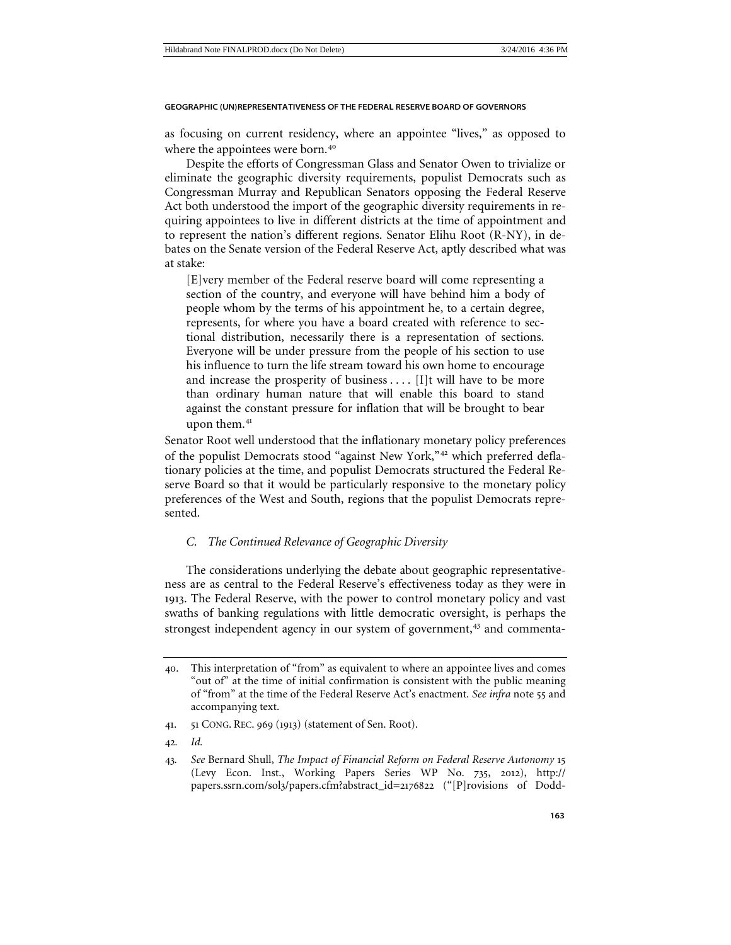as focusing on current residency, where an appointee "lives," as opposed to where the appointees were born.<sup>[40](#page-8-1)</sup>

Despite the efforts of Congressman Glass and Senator Owen to trivialize or eliminate the geographic diversity requirements, populist Democrats such as Congressman Murray and Republican Senators opposing the Federal Reserve Act both understood the import of the geographic diversity requirements in requiring appointees to live in different districts at the time of appointment and to represent the nation's different regions. Senator Elihu Root (R-NY), in debates on the Senate version of the Federal Reserve Act, aptly described what was at stake:

[E]very member of the Federal reserve board will come representing a section of the country, and everyone will have behind him a body of people whom by the terms of his appointment he, to a certain degree, represents, for where you have a board created with reference to sectional distribution, necessarily there is a representation of sections. Everyone will be under pressure from the people of his section to use his influence to turn the life stream toward his own home to encourage and increase the prosperity of business  $\dots$  [I]t will have to be more than ordinary human nature that will enable this board to stand against the constant pressure for inflation that will be brought to bear upon them.<sup>[41](#page-8-2)</sup>

Senator Root well understood that the inflationary monetary policy preferences of the populist Democrats stood "against New York,"[42](#page-8-3) which preferred deflationary policies at the time, and populist Democrats structured the Federal Reserve Board so that it would be particularly responsive to the monetary policy preferences of the West and South, regions that the populist Democrats represented.

### <span id="page-8-0"></span>*C. The Continued Relevance of Geographic Diversity*

The considerations underlying the debate about geographic representativeness are as central to the Federal Reserve's effectiveness today as they were in 1913. The Federal Reserve, with the power to control monetary policy and vast swaths of banking regulations with little democratic oversight, is perhaps the strongest independent agency in our system of government,<sup>[43](#page-8-4)</sup> and commenta-

42*. Id.*

<span id="page-8-1"></span><sup>40</sup>. This interpretation of "from" as equivalent to where an appointee lives and comes "out of" at the time of initial confirmation is consistent with the public meaning of "from" at the time of the Federal Reserve Act's enactment. *See infra* note 55 and accompanying text.

<span id="page-8-2"></span><sup>41</sup>. 51 CONG. REC. 969 (1913) (statement of Sen. Root).

<span id="page-8-4"></span><span id="page-8-3"></span><sup>43</sup>*. See* Bernard Shull, *The Impact of Financial Reform on Federal Reserve Autonomy* 15 (Levy Econ. Inst., Working Papers Series WP No. 735, 2012), http:// papers.ssrn.com/sol3/papers.cfm?abstract\_id=2176822 ("[P]rovisions of Dodd-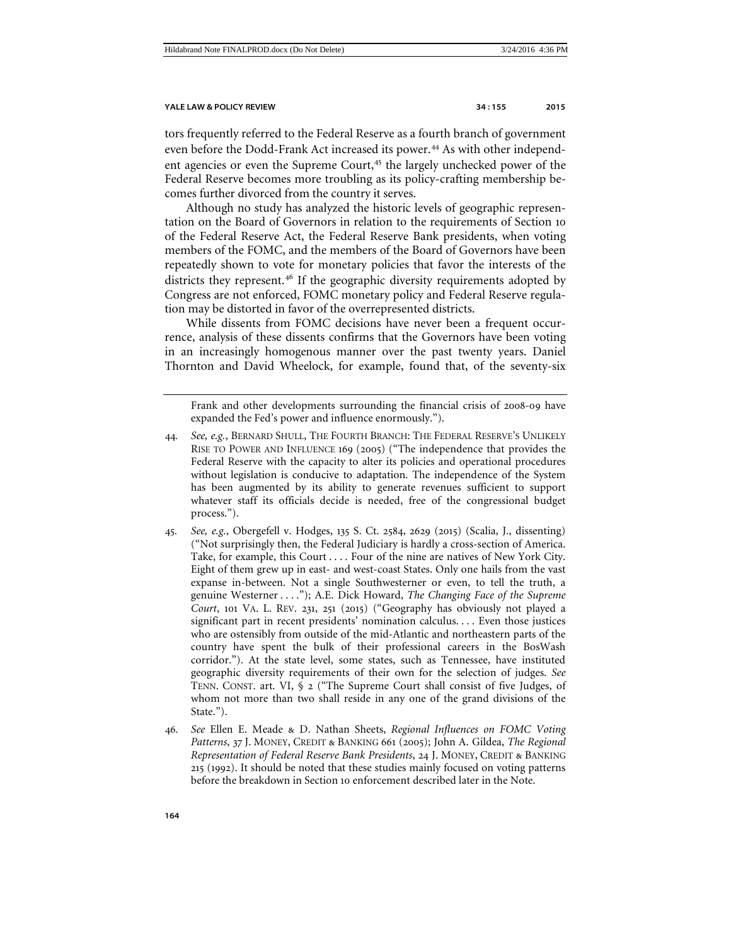tors frequently referred to the Federal Reserve as a fourth branch of government even before the Dodd-Frank Act increased its power.<sup>[44](#page-9-0)</sup> As with other independ-ent agencies or even the Supreme Court,<sup>[45](#page-9-1)</sup> the largely unchecked power of the Federal Reserve becomes more troubling as its policy-crafting membership becomes further divorced from the country it serves.

Although no study has analyzed the historic levels of geographic representation on the Board of Governors in relation to the requirements of Section 10 of the Federal Reserve Act, the Federal Reserve Bank presidents, when voting members of the FOMC, and the members of the Board of Governors have been repeatedly shown to vote for monetary policies that favor the interests of the districts they represent.<sup>[46](#page-9-2)</sup> If the geographic diversity requirements adopted by Congress are not enforced, FOMC monetary policy and Federal Reserve regulation may be distorted in favor of the overrepresented districts.

While dissents from FOMC decisions have never been a frequent occurrence, analysis of these dissents confirms that the Governors have been voting in an increasingly homogenous manner over the past twenty years. Daniel Thornton and David Wheelock, for example, found that, of the seventy-six

Frank and other developments surrounding the financial crisis of 2008-09 have expanded the Fed's power and influence enormously.").

- <span id="page-9-0"></span>44*. See, e.g.*, BERNARD SHULL, THE FOURTH BRANCH: THE FEDERAL RESERVE'S UNLIKELY RISE TO POWER AND INFLUENCE 169 (2005) ("The independence that provides the Federal Reserve with the capacity to alter its policies and operational procedures without legislation is conducive to adaptation. The independence of the System has been augmented by its ability to generate revenues sufficient to support whatever staff its officials decide is needed, free of the congressional budget process.").
- <span id="page-9-1"></span>45*. See, e.g.*, Obergefell v. Hodges, 135 S. Ct. 2584, 2629 (2015) (Scalia, J., dissenting) ("Not surprisingly then, the Federal Judiciary is hardly a cross-section of America. Take, for example, this Court . . . . Four of the nine are natives of New York City. Eight of them grew up in east- and west-coast States. Only one hails from the vast expanse in-between. Not a single Southwesterner or even, to tell the truth, a genuine Westerner . . . ."); A.E. Dick Howard, *The Changing Face of the Supreme Court*, 101 VA. L. REV. 231, 251 (2015) ("Geography has obviously not played a significant part in recent presidents' nomination calculus. . . . Even those justices who are ostensibly from outside of the mid-Atlantic and northeastern parts of the country have spent the bulk of their professional careers in the BosWash corridor."). At the state level, some states, such as Tennessee, have instituted geographic diversity requirements of their own for the selection of judges. *See* TENN. CONST. art. VI, § 2 ("The Supreme Court shall consist of five Judges, of whom not more than two shall reside in any one of the grand divisions of the State.").
- <span id="page-9-2"></span>46*. See* Ellen E. Meade & D. Nathan Sheets, *Regional Influences on FOMC Voting Patterns*, 37 J. MONEY, CREDIT & BANKING 661 (2005); John A. Gildea, *The Regional Representation of Federal Reserve Bank Presidents*, 24 J. MONEY, CREDIT & BANKING 215 (1992). It should be noted that these studies mainly focused on voting patterns before the breakdown in Section 10 enforcement described later in the Note.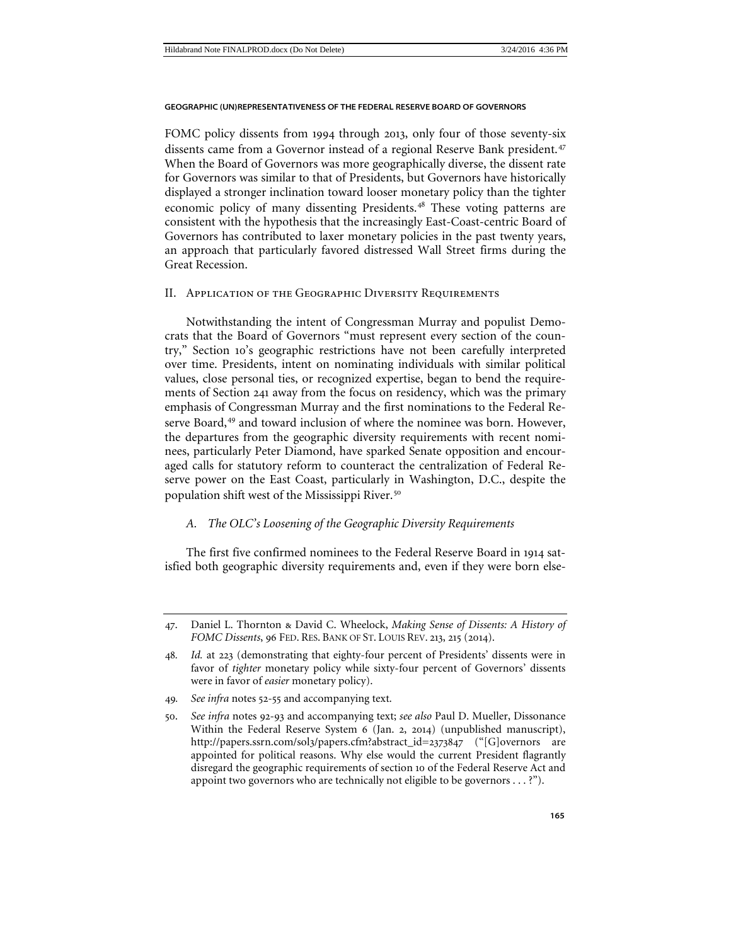FOMC policy dissents from 1994 through 2013, only four of those seventy-six dissents came from a Governor instead of a regional Reserve Bank president.<sup>[47](#page-10-2)</sup> When the Board of Governors was more geographically diverse, the dissent rate for Governors was similar to that of Presidents, but Governors have historically displayed a stronger inclination toward looser monetary policy than the tighter economic policy of many dissenting Presidents.<sup>[48](#page-10-3)</sup> These voting patterns are consistent with the hypothesis that the increasingly East-Coast-centric Board of Governors has contributed to laxer monetary policies in the past twenty years, an approach that particularly favored distressed Wall Street firms during the Great Recession.

### <span id="page-10-0"></span>II. Application of the Geographic Diversity Requirements

Notwithstanding the intent of Congressman Murray and populist Democrats that the Board of Governors "must represent every section of the country," Section 10's geographic restrictions have not been carefully interpreted over time. Presidents, intent on nominating individuals with similar political values, close personal ties, or recognized expertise, began to bend the requirements of Section 241 away from the focus on residency, which was the primary emphasis of Congressman Murray and the first nominations to the Federal Re-serve Board,<sup>[49](#page-10-4)</sup> and toward inclusion of where the nominee was born. However, the departures from the geographic diversity requirements with recent nominees, particularly Peter Diamond, have sparked Senate opposition and encouraged calls for statutory reform to counteract the centralization of Federal Reserve power on the East Coast, particularly in Washington, D.C., despite the population shift west of the Mississippi River.[50](#page-10-5)

### <span id="page-10-1"></span>*A. The OLC's Loosening of the Geographic Diversity Requirements*

The first five confirmed nominees to the Federal Reserve Board in 1914 satisfied both geographic diversity requirements and, even if they were born else-

<span id="page-10-2"></span><sup>47</sup>. Daniel L. Thornton & David C. Wheelock, *Making Sense of Dissents: A History of FOMC Dissents*, 96 FED. RES. BANK OF ST. LOUIS REV. 213, 215 (2014).

<span id="page-10-3"></span><sup>48</sup>*. Id.* at 223 (demonstrating that eighty-four percent of Presidents' dissents were in favor of *tighter* monetary policy while sixty-four percent of Governors' dissents were in favor of *easier* monetary policy).

<span id="page-10-4"></span><sup>49</sup>*. See infra* notes 52-55 and accompanying text.

<span id="page-10-5"></span><sup>50</sup>. *See infra* notes 92-93 and accompanying text; *see also* Paul D. Mueller, Dissonance Within the Federal Reserve System 6 (Jan. 2, 2014) (unpublished manuscript), http://papers.ssrn.com/sol3/papers.cfm?abstract\_id=2373847 ("[G]overnors are appointed for political reasons. Why else would the current President flagrantly disregard the geographic requirements of section 10 of the Federal Reserve Act and appoint two governors who are technically not eligible to be governors . . . ?").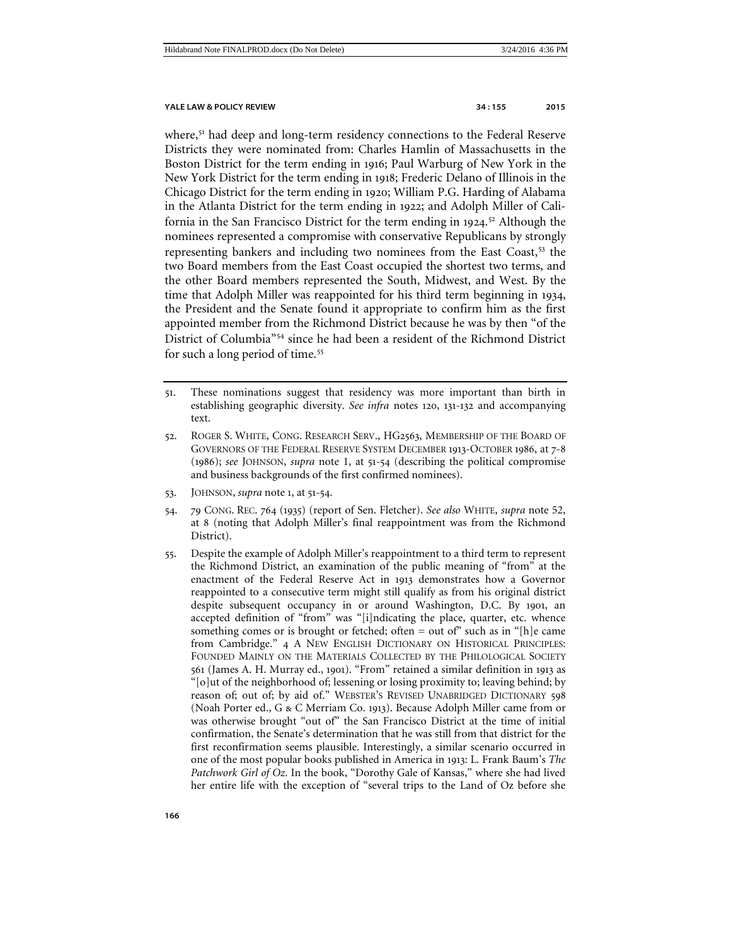<span id="page-11-0"></span>where,<sup>[51](#page-11-1)</sup> had deep and long-term residency connections to the Federal Reserve Districts they were nominated from: Charles Hamlin of Massachusetts in the Boston District for the term ending in 1916; Paul Warburg of New York in the New York District for the term ending in 1918; Frederic Delano of Illinois in the Chicago District for the term ending in 1920; William P.G. Harding of Alabama in the Atlanta District for the term ending in 1922; and Adolph Miller of California in the San Francisco District for the term ending in 1924. [52](#page-11-2) Although the nominees represented a compromise with conservative Republicans by strongly representing bankers and including two nominees from the East Coast,<sup>[53](#page-11-3)</sup> the two Board members from the East Coast occupied the shortest two terms, and the other Board members represented the South, Midwest, and West. By the time that Adolph Miller was reappointed for his third term beginning in 1934, the President and the Senate found it appropriate to confirm him as the first appointed member from the Richmond District because he was by then "of the District of Columbia"[54](#page-11-4) since he had been a resident of the Richmond District for such a long period of time.<sup>[55](#page-11-5)</sup>

- <span id="page-11-1"></span>51. These nominations suggest that residency was more important than birth in establishing geographic diversity. *See infra* notes 120, 131-132 and accompanying text.
- <span id="page-11-2"></span>52. ROGER S. WHITE, CONG. RESEARCH SERV., HG2563, MEMBERSHIP OF THE BOARD OF GOVERNORS OF THE FEDERAL RESERVE SYSTEM DECEMBER 1913-OCTOBER 1986, at 7-8 (1986); *see* JOHNSON, *supra* note [1,](#page-1-7) at 51-54 (describing the political compromise and business backgrounds of the first confirmed nominees).
- <span id="page-11-3"></span>53. JOHNSON, *supra* note 1, at 51-54.
- <span id="page-11-4"></span>54. 79 CONG. REC. 764 (1935) (report of Sen. Fletcher). *See also* WHITE, *supra* note [52,](#page-11-0)  at 8 (noting that Adolph Miller's final reappointment was from the Richmond District).
- <span id="page-11-5"></span>55. Despite the example of Adolph Miller's reappointment to a third term to represent the Richmond District, an examination of the public meaning of "from" at the enactment of the Federal Reserve Act in 1913 demonstrates how a Governor reappointed to a consecutive term might still qualify as from his original district despite subsequent occupancy in or around Washington, D.C. By 1901, an accepted definition of "from" was "[i]ndicating the place, quarter, etc. whence something comes or is brought or fetched; often = out of" such as in "[h]e came from Cambridge." 4 A NEW ENGLISH DICTIONARY ON HISTORICAL PRINCIPLES: FOUNDED MAINLY ON THE MATERIALS COLLECTED BY THE PHILOLOGICAL SOCIETY 561 (James A. H. Murray ed., 1901). "From" retained a similar definition in 1913 as "[o]ut of the neighborhood of; lessening or losing proximity to; leaving behind; by reason of; out of; by aid of." WEBSTER'S REVISED UNABRIDGED DICTIONARY 598 (Noah Porter ed., G & C Merriam Co. 1913). Because Adolph Miller came from or was otherwise brought "out of" the San Francisco District at the time of initial confirmation, the Senate's determination that he was still from that district for the first reconfirmation seems plausible. Interestingly, a similar scenario occurred in one of the most popular books published in America in 1913: L. Frank Baum's *The Patchwork Girl of Oz*. In the book, "Dorothy Gale of Kansas," where she had lived her entire life with the exception of "several trips to the Land of Oz before she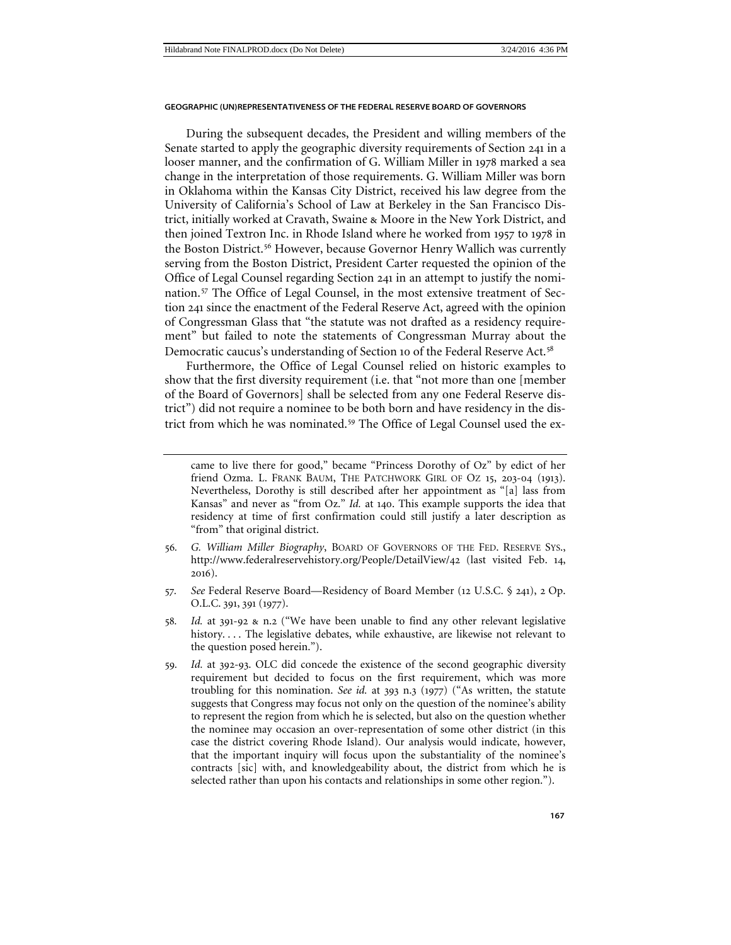During the subsequent decades, the President and willing members of the Senate started to apply the geographic diversity requirements of Section 241 in a looser manner, and the confirmation of G. William Miller in 1978 marked a sea change in the interpretation of those requirements. G. William Miller was born in Oklahoma within the Kansas City District, received his law degree from the University of California's School of Law at Berkeley in the San Francisco District, initially worked at Cravath, Swaine & Moore in the New York District, and then joined Textron Inc. in Rhode Island where he worked from 1957 to 1978 in the Boston District.<sup>[56](#page-12-0)</sup> However, because Governor Henry Wallich was currently serving from the Boston District, President Carter requested the opinion of the Office of Legal Counsel regarding Section 241 in an attempt to justify the nomination.[57](#page-12-1) The Office of Legal Counsel, in the most extensive treatment of Section 241 since the enactment of the Federal Reserve Act, agreed with the opinion of Congressman Glass that "the statute was not drafted as a residency requirement" but failed to note the statements of Congressman Murray about the Democratic caucus's understanding of Section 10 of the Federal Reserve Act.<sup>[58](#page-12-2)</sup>

Furthermore, the Office of Legal Counsel relied on historic examples to show that the first diversity requirement (i.e. that "not more than one [member of the Board of Governors] shall be selected from any one Federal Reserve district") did not require a nominee to be both born and have residency in the district from which he was nominated.[59](#page-12-3) The Office of Legal Counsel used the ex-

- <span id="page-12-0"></span>56*. G. William Miller Biography*, BOARD OF GOVERNORS OF THE FED. RESERVE SYS., http://www.federalreservehistory.org/People/DetailView/42 (last visited Feb. 14, 2016).
- <span id="page-12-1"></span>57*. See* Federal Reserve Board—Residency of Board Member (12 U.S.C. § 241), 2 Op. O.L.C. 391, 391 (1977).
- <span id="page-12-2"></span>58*. Id.* at 391-92 & n.2 ("We have been unable to find any other relevant legislative history. . . . The legislative debates, while exhaustive, are likewise not relevant to the question posed herein.").
- <span id="page-12-3"></span>59*. Id.* at 392-93. OLC did concede the existence of the second geographic diversity requirement but decided to focus on the first requirement, which was more troubling for this nomination. *See id.* at 393 n.3 (1977) ("As written, the statute suggests that Congress may focus not only on the question of the nominee's ability to represent the region from which he is selected, but also on the question whether the nominee may occasion an over-representation of some other district (in this case the district covering Rhode Island). Our analysis would indicate, however, that the important inquiry will focus upon the substantiality of the nominee's contracts [sic] with, and knowledgeability about, the district from which he is selected rather than upon his contacts and relationships in some other region.").

came to live there for good," became "Princess Dorothy of Oz" by edict of her friend Ozma. L. FRANK BAUM, THE PATCHWORK GIRL OF OZ 15, 203-04 (1913). Nevertheless, Dorothy is still described after her appointment as "[a] lass from Kansas" and never as "from Oz." *Id.* at 140. This example supports the idea that residency at time of first confirmation could still justify a later description as "from" that original district.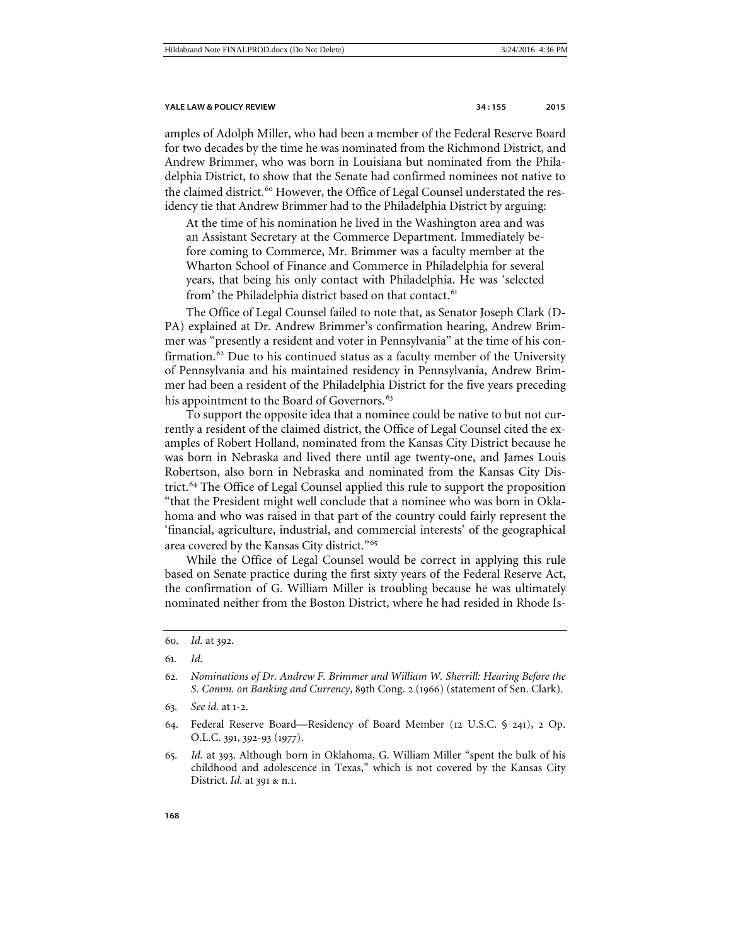amples of Adolph Miller, who had been a member of the Federal Reserve Board for two decades by the time he was nominated from the Richmond District, and Andrew Brimmer, who was born in Louisiana but nominated from the Philadelphia District, to show that the Senate had confirmed nominees not native to the claimed district.<sup>[60](#page-13-0)</sup> However, the Office of Legal Counsel understated the residency tie that Andrew Brimmer had to the Philadelphia District by arguing:

At the time of his nomination he lived in the Washington area and was an Assistant Secretary at the Commerce Department. Immediately before coming to Commerce, Mr. Brimmer was a faculty member at the Wharton School of Finance and Commerce in Philadelphia for several years, that being his only contact with Philadelphia. He was 'selected from' the Philadelphia district based on that contact.<sup>[61](#page-13-1)</sup>

The Office of Legal Counsel failed to note that, as Senator Joseph Clark (D-PA) explained at Dr. Andrew Brimmer's confirmation hearing, Andrew Brimmer was "presently a resident and voter in Pennsylvania" at the time of his con-firmation.<sup>[62](#page-13-2)</sup> Due to his continued status as a faculty member of the University of Pennsylvania and his maintained residency in Pennsylvania, Andrew Brimmer had been a resident of the Philadelphia District for the five years preceding his appointment to the Board of Governors.<sup>[63](#page-13-3)</sup>

To support the opposite idea that a nominee could be native to but not currently a resident of the claimed district, the Office of Legal Counsel cited the examples of Robert Holland, nominated from the Kansas City District because he was born in Nebraska and lived there until age twenty-one, and James Louis Robertson, also born in Nebraska and nominated from the Kansas City District.[64](#page-13-4) The Office of Legal Counsel applied this rule to support the proposition "that the President might well conclude that a nominee who was born in Oklahoma and who was raised in that part of the country could fairly represent the 'financial, agriculture, industrial, and commercial interests' of the geographical area covered by the Kansas City district."[65](#page-13-5)

While the Office of Legal Counsel would be correct in applying this rule based on Senate practice during the first sixty years of the Federal Reserve Act, the confirmation of G. William Miller is troubling because he was ultimately nominated neither from the Boston District, where he had resided in Rhode Is-

- <span id="page-13-4"></span>64. Federal Reserve Board—Residency of Board Member (12 U.S.C. § 241), 2 Op. O.L.C. 391, 392-93 (1977).
- <span id="page-13-5"></span>65*. Id.* at 393. Although born in Oklahoma, G. William Miller "spent the bulk of his childhood and adolescence in Texas," which is not covered by the Kansas City District. *Id.* at 391 & n.1.

<span id="page-13-0"></span><sup>60</sup>*. Id.* at 392.

<span id="page-13-1"></span><sup>61</sup>*. Id.*

<span id="page-13-2"></span><sup>62</sup>*. Nominations of Dr. Andrew F. Brimmer and William W. Sherrill: Hearing Before the S. Comm. on Banking and Currency*, 89th Cong. 2 (1966) (statement of Sen. Clark).

<span id="page-13-3"></span><sup>63</sup>*. See id.* at 1-2.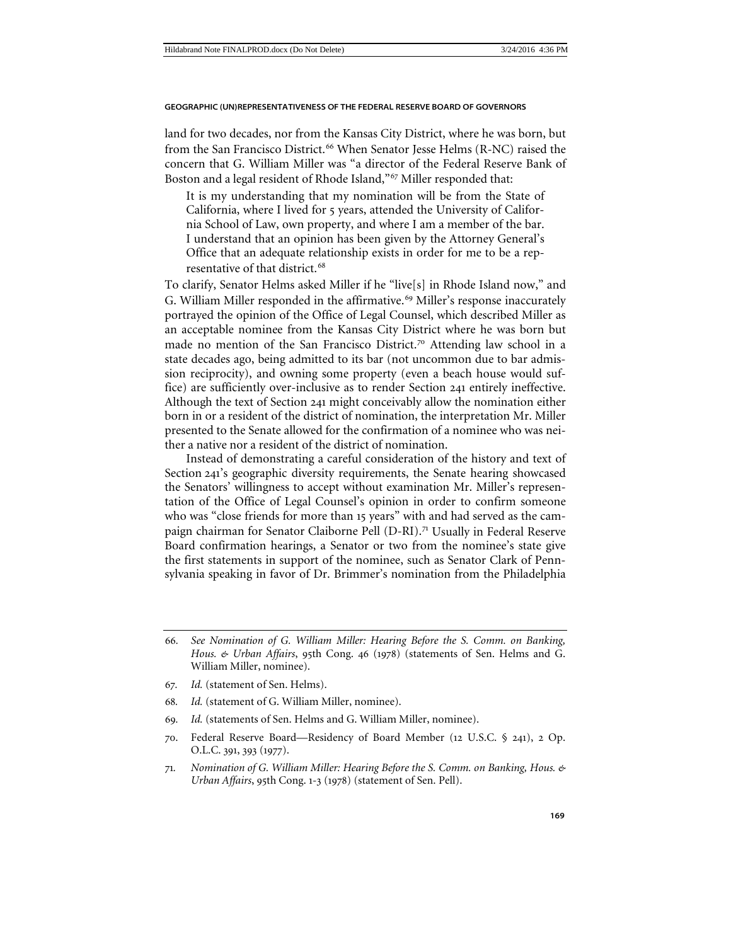land for two decades, nor from the Kansas City District, where he was born, but from the San Francisco District.<sup>[66](#page-14-0)</sup> When Senator Jesse Helms (R-NC) raised the concern that G. William Miller was "a director of the Federal Reserve Bank of Boston and a legal resident of Rhode Island,"[67](#page-14-1) Miller responded that:

It is my understanding that my nomination will be from the State of California, where I lived for 5 years, attended the University of California School of Law, own property, and where I am a member of the bar. I understand that an opinion has been given by the Attorney General's Office that an adequate relationship exists in order for me to be a rep-resentative of that district.<sup>[68](#page-14-2)</sup>

To clarify, Senator Helms asked Miller if he "live[s] in Rhode Island now," and G. William Miller responded in the affirmative.<sup>[69](#page-14-3)</sup> Miller's response inaccurately portrayed the opinion of the Office of Legal Counsel, which described Miller as an acceptable nominee from the Kansas City District where he was born but made no mention of the San Francisco District.<sup>[70](#page-14-4)</sup> Attending law school in a state decades ago, being admitted to its bar (not uncommon due to bar admission reciprocity), and owning some property (even a beach house would suffice) are sufficiently over-inclusive as to render Section 241 entirely ineffective. Although the text of Section 241 might conceivably allow the nomination either born in or a resident of the district of nomination, the interpretation Mr. Miller presented to the Senate allowed for the confirmation of a nominee who was neither a native nor a resident of the district of nomination.

Instead of demonstrating a careful consideration of the history and text of Section 241's geographic diversity requirements, the Senate hearing showcased the Senators' willingness to accept without examination Mr. Miller's representation of the Office of Legal Counsel's opinion in order to confirm someone who was "close friends for more than 15 years" with and had served as the cam-paign chairman for Senator Claiborne Pell (D-RI).<sup>[71](#page-14-5)</sup> Usually in Federal Reserve Board confirmation hearings, a Senator or two from the nominee's state give the first statements in support of the nominee, such as Senator Clark of Pennsylvania speaking in favor of Dr. Brimmer's nomination from the Philadelphia

- <span id="page-14-2"></span><span id="page-14-1"></span>67*. Id.* (statement of Sen. Helms).
- 68*. Id.* (statement of G. William Miller, nominee).
- <span id="page-14-3"></span>69*. Id.* (statements of Sen. Helms and G. William Miller, nominee).
- <span id="page-14-4"></span>70. Federal Reserve Board—Residency of Board Member (12 U.S.C. § 241), 2 Op. O.L.C. 391, 393 (1977).
- <span id="page-14-5"></span>71*. Nomination of G. William Miller: Hearing Before the S. Comm. on Banking, Hous. & Urban Affairs*, 95th Cong. 1-3 (1978) (statement of Sen. Pell).

<span id="page-14-0"></span><sup>66</sup>*. See Nomination of G. William Miller: Hearing Before the S. Comm. on Banking, Hous. & Urban Affairs*, 95th Cong. 46 (1978) (statements of Sen. Helms and G. William Miller, nominee).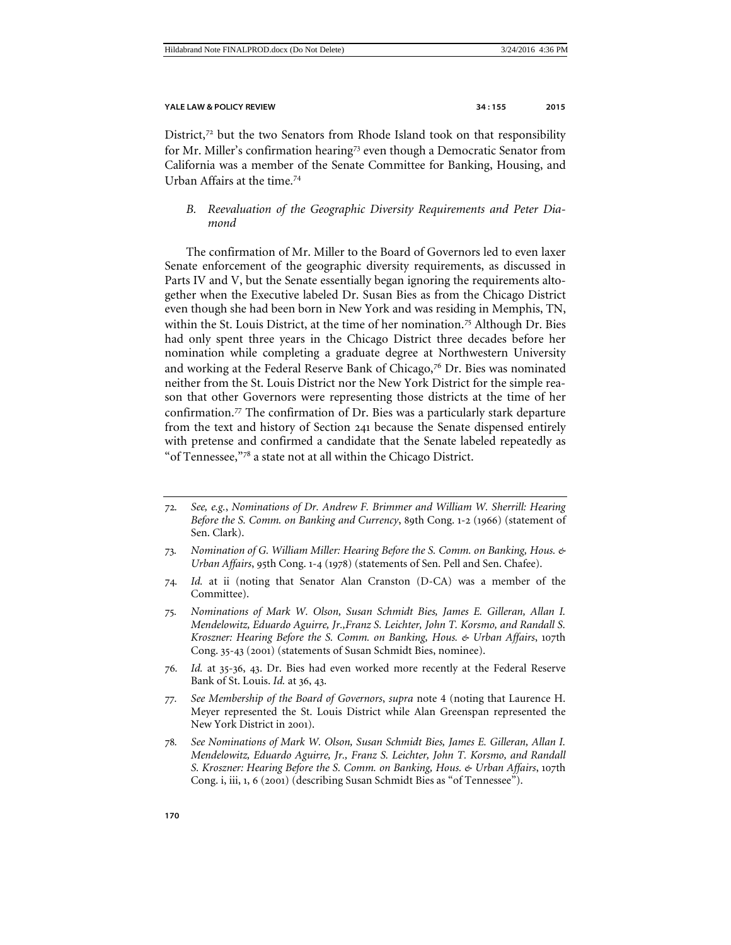District, $72$  but the two Senators from Rhode Island took on that responsibility for Mr. Miller's confirmation hearing<sup>[73](#page-15-2)</sup> even though a Democratic Senator from California was a member of the Senate Committee for Banking, Housing, and Urban Affairs at the time <sup>[74](#page-15-3)</sup>

## <span id="page-15-0"></span>*B. Reevaluation of the Geographic Diversity Requirements and Peter Diamond*

The confirmation of Mr. Miller to the Board of Governors led to even laxer Senate enforcement of the geographic diversity requirements, as discussed in Parts IV and V, but the Senate essentially began ignoring the requirements altogether when the Executive labeled Dr. Susan Bies as from the Chicago District even though she had been born in New York and was residing in Memphis, TN, within the St. Louis District, at the time of her nomination.<sup>[75](#page-15-4)</sup> Although Dr. Bies had only spent three years in the Chicago District three decades before her nomination while completing a graduate degree at Northwestern University and working at the Federal Reserve Bank of Chicago, $7<sup>6</sup>$  Dr. Bies was nominated neither from the St. Louis District nor the New York District for the simple reason that other Governors were representing those districts at the time of her confirmation.[77](#page-15-6) The confirmation of Dr. Bies was a particularly stark departure from the text and history of Section 241 because the Senate dispensed entirely with pretense and confirmed a candidate that the Senate labeled repeatedly as "of Tennessee,"[78](#page-15-7) a state not at all within the Chicago District.

- <span id="page-15-5"></span>76*. Id.* at 35-36, 43. Dr. Bies had even worked more recently at the Federal Reserve Bank of St. Louis. *Id.* at 36, 43.
- <span id="page-15-6"></span>77*. See Membership of the Board of Governors*, *supra* note [4](#page-1-8) (noting that Laurence H. Meyer represented the St. Louis District while Alan Greenspan represented the New York District in 2001).
- <span id="page-15-7"></span>78*. See Nominations of Mark W. Olson, Susan Schmidt Bies, James E. Gilleran, Allan I. Mendelowitz, Eduardo Aguirre, Jr., Franz S. Leichter, John T. Korsmo, and Randall S. Kroszner: Hearing Before the S. Comm. on Banking, Hous. & Urban Affairs*, 107th Cong. i, iii, 1, 6 (2001) (describing Susan Schmidt Bies as "of Tennessee").

<span id="page-15-1"></span><sup>72</sup>*. See, e.g.*, *Nominations of Dr. Andrew F. Brimmer and William W. Sherrill: Hearing Before the S. Comm. on Banking and Currency*, 89th Cong. 1-2 (1966) (statement of Sen. Clark).

<span id="page-15-2"></span><sup>73</sup>*. Nomination of G. William Miller: Hearing Before the S. Comm. on Banking, Hous. & Urban Affairs*, 95th Cong. 1-4 (1978) (statements of Sen. Pell and Sen. Chafee).

<span id="page-15-3"></span><sup>74</sup>*. Id.* at ii (noting that Senator Alan Cranston (D-CA) was a member of the Committee).

<span id="page-15-4"></span><sup>75</sup>*. Nominations of Mark W. Olson, Susan Schmidt Bies, James E. Gilleran, Allan I. Mendelowitz, Eduardo Aguirre, Jr.,Franz S. Leichter, John T. Korsmo, and Randall S. Kroszner: Hearing Before the S. Comm. on Banking, Hous. & Urban Affairs*, 107th Cong. 35-43 (2001) (statements of Susan Schmidt Bies, nominee).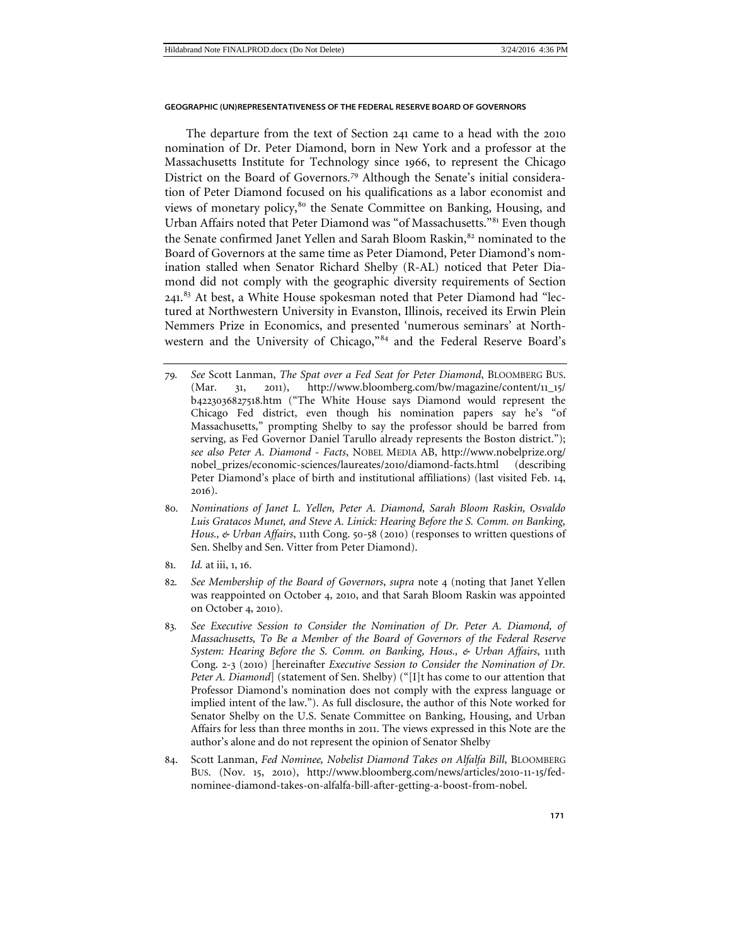The departure from the text of Section 241 came to a head with the 2010 nomination of Dr. Peter Diamond, born in New York and a professor at the Massachusetts Institute for Technology since 1966, to represent the Chicago District on the Board of Governors.[79](#page-16-0) Although the Senate's initial consideration of Peter Diamond focused on his qualifications as a labor economist and views of monetary policy,<sup>[80](#page-16-1)</sup> the Senate Committee on Banking, Housing, and Urban Affairs noted that Peter Diamond was "of Massachusetts."[81](#page-16-2) Even though the Senate confirmed Janet Yellen and Sarah Bloom Raskin,<sup>[82](#page-16-3)</sup> nominated to the Board of Governors at the same time as Peter Diamond, Peter Diamond's nomination stalled when Senator Richard Shelby (R-AL) noticed that Peter Diamond did not comply with the geographic diversity requirements of Section 241.<sup>[83](#page-16-4)</sup> At best, a White House spokesman noted that Peter Diamond had "lectured at Northwestern University in Evanston, Illinois, received its Erwin Plein Nemmers Prize in Economics, and presented 'numerous seminars' at Northwestern and the University of Chicago,"[84](#page-16-5) and the Federal Reserve Board's

- <span id="page-16-0"></span>79*. See* Scott Lanman, *The Spat over a Fed Seat for Peter Diamond*, BLOOMBERG BUS. (Mar. 31, 2011), http://www.bloomberg.com/bw/magazine/content/11\_15/ b4223036827518.htm ("The White House says Diamond would represent the Chicago Fed district, even though his nomination papers say he's "of Massachusetts," prompting Shelby to say the professor should be barred from serving, as Fed Governor Daniel Tarullo already represents the Boston district."); *see also Peter A. Diamond - Facts*, NOBEL MEDIA AB, http://www.nobelprize.org/ nobel\_prizes/economic-sciences/laureates/2010/diamond-facts.html (describing Peter Diamond's place of birth and institutional affiliations) (last visited Feb. 14, 2016).
- <span id="page-16-1"></span>80*. Nominations of Janet L. Yellen, Peter A. Diamond, Sarah Bloom Raskin, Osvaldo Luis Gratacos Munet, and Steve A. Linick: Hearing Before the S. Comm. on Banking, Hous., & Urban Affairs*, 111th Cong. 50-58 (2010) (responses to written questions of Sen. Shelby and Sen. Vitter from Peter Diamond).
- <span id="page-16-2"></span>81*. Id.* at iii, 1, 16.
- <span id="page-16-3"></span>82*. See Membership of the Board of Governors*, *supra* note 4 (noting that Janet Yellen was reappointed on October 4, 2010, and that Sarah Bloom Raskin was appointed on October 4, 2010).
- <span id="page-16-4"></span>83*. See Executive Session to Consider the Nomination of Dr. Peter A. Diamond, of Massachusetts, To Be a Member of the Board of Governors of the Federal Reserve System: Hearing Before the S. Comm. on Banking, Hous., & Urban Affairs*, 111th Cong. 2-3 (2010) [hereinafter *Executive Session to Consider the Nomination of Dr. Peter A. Diamond*] (statement of Sen. Shelby) ("[I]t has come to our attention that Professor Diamond's nomination does not comply with the express language or implied intent of the law."). As full disclosure, the author of this Note worked for Senator Shelby on the U.S. Senate Committee on Banking, Housing, and Urban Affairs for less than three months in 2011. The views expressed in this Note are the author's alone and do not represent the opinion of Senator Shelby
- <span id="page-16-5"></span>84. Scott Lanman, *Fed Nominee, Nobelist Diamond Takes on Alfalfa Bill*, BLOOMBERG BUS. (Nov. 15, 2010), http://www.bloomberg.com/news/articles/2010-11-15/fednominee-diamond-takes-on-alfalfa-bill-after-getting-a-boost-from-nobel.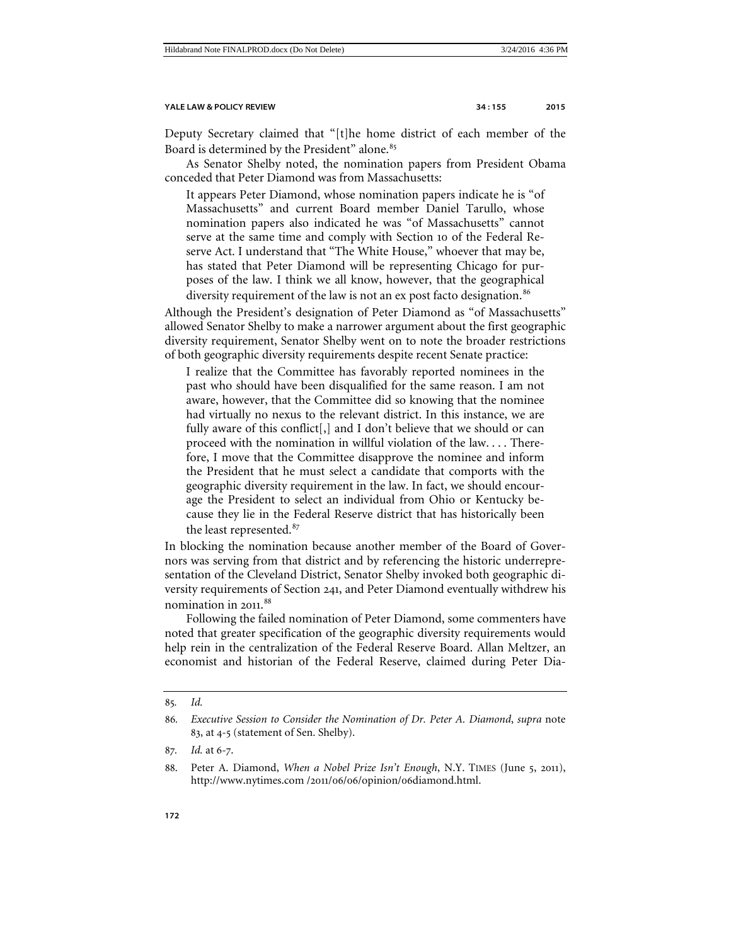Deputy Secretary claimed that "[t]he home district of each member of the Board is determined by the President" alone.<sup>[85](#page-17-0)</sup>

As Senator Shelby noted, the nomination papers from President Obama conceded that Peter Diamond was from Massachusetts:

It appears Peter Diamond, whose nomination papers indicate he is "of Massachusetts" and current Board member Daniel Tarullo, whose nomination papers also indicated he was "of Massachusetts" cannot serve at the same time and comply with Section 10 of the Federal Reserve Act. I understand that "The White House," whoever that may be, has stated that Peter Diamond will be representing Chicago for purposes of the law. I think we all know, however, that the geographical diversity requirement of the law is not an ex post facto designation.<sup>[86](#page-17-1)</sup>

Although the President's designation of Peter Diamond as "of Massachusetts" allowed Senator Shelby to make a narrower argument about the first geographic diversity requirement, Senator Shelby went on to note the broader restrictions of both geographic diversity requirements despite recent Senate practice:

I realize that the Committee has favorably reported nominees in the past who should have been disqualified for the same reason. I am not aware, however, that the Committee did so knowing that the nominee had virtually no nexus to the relevant district. In this instance, we are fully aware of this conflict[,] and I don't believe that we should or can proceed with the nomination in willful violation of the law. . . . Therefore, I move that the Committee disapprove the nominee and inform the President that he must select a candidate that comports with the geographic diversity requirement in the law. In fact, we should encourage the President to select an individual from Ohio or Kentucky because they lie in the Federal Reserve district that has historically been the least represented.<sup>[87](#page-17-2)</sup>

In blocking the nomination because another member of the Board of Governors was serving from that district and by referencing the historic underrepresentation of the Cleveland District, Senator Shelby invoked both geographic diversity requirements of Section 241, and Peter Diamond eventually withdrew his nomination in 2011. [88](#page-17-3)

Following the failed nomination of Peter Diamond, some commenters have noted that greater specification of the geographic diversity requirements would help rein in the centralization of the Federal Reserve Board. Allan Meltzer, an economist and historian of the Federal Reserve, claimed during Peter Dia-

<span id="page-17-0"></span><sup>85</sup>*. Id.*

<span id="page-17-1"></span><sup>86</sup>*. Executive Session to Consider the Nomination of Dr. Peter A. Diamond*, *supra* note 83, at 4-5 (statement of Sen. Shelby).

<span id="page-17-3"></span><span id="page-17-2"></span><sup>87</sup>*. Id.* at 6-7.

<sup>88</sup>. Peter A. Diamond, *When a Nobel Prize Isn't Enough*, N.Y. TIMES (June 5, 2011), http://www.nytimes.com /2011/06/06/opinion/06diamond.html.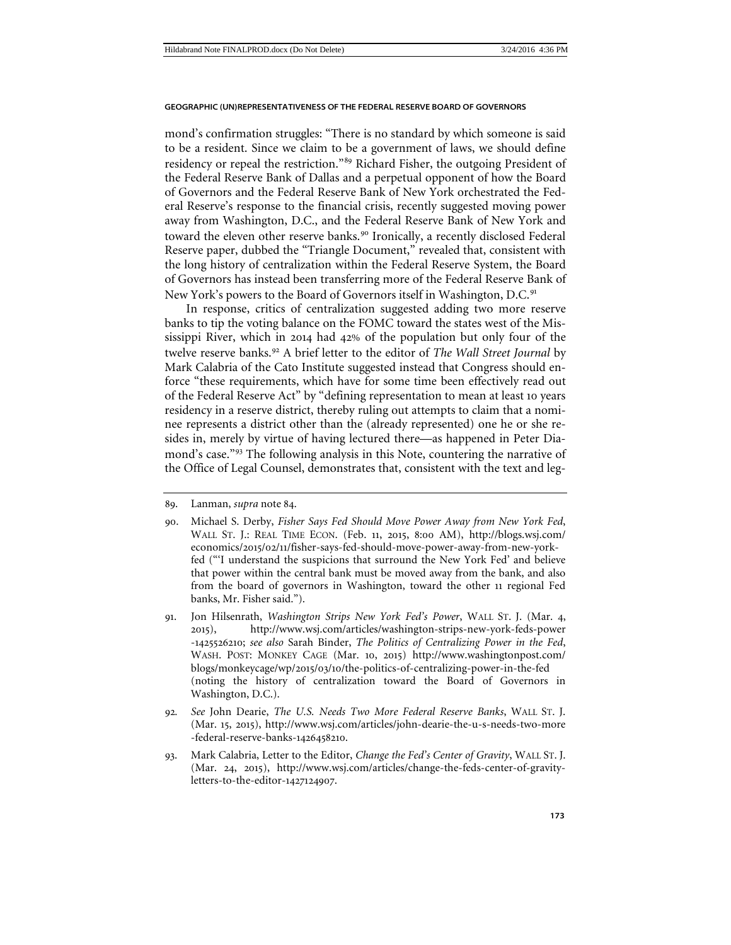mond's confirmation struggles: "There is no standard by which someone is said to be a resident. Since we claim to be a government of laws, we should define residency or repeal the restriction."[89](#page-18-0) Richard Fisher, the outgoing President of the Federal Reserve Bank of Dallas and a perpetual opponent of how the Board of Governors and the Federal Reserve Bank of New York orchestrated the Federal Reserve's response to the financial crisis, recently suggested moving power away from Washington, D.C., and the Federal Reserve Bank of New York and toward the eleven other reserve banks.<sup>[90](#page-18-1)</sup> Ironically, a recently disclosed Federal Reserve paper, dubbed the "Triangle Document," revealed that, consistent with the long history of centralization within the Federal Reserve System, the Board of Governors has instead been transferring more of the Federal Reserve Bank of New York's powers to the Board of Governors itself in Washington, D.C.<sup>[91](#page-18-2)</sup>

<span id="page-18-5"></span>In response, critics of centralization suggested adding two more reserve banks to tip the voting balance on the FOMC toward the states west of the Mississippi River, which in 2014 had 42% of the population but only four of the twelve reserve banks.[92](#page-18-3) A brief letter to the editor of *The Wall Street Journal* by Mark Calabria of the Cato Institute suggested instead that Congress should enforce "these requirements, which have for some time been effectively read out of the Federal Reserve Act" by "defining representation to mean at least 10 years residency in a reserve district, thereby ruling out attempts to claim that a nominee represents a district other than the (already represented) one he or she resides in, merely by virtue of having lectured there—as happened in Peter Diamond's case."[93](#page-18-4) The following analysis in this Note, countering the narrative of the Office of Legal Counsel, demonstrates that, consistent with the text and leg-

<span id="page-18-0"></span><sup>89</sup>. Lanman, *supra* note 84.

<span id="page-18-1"></span><sup>90</sup>. Michael S. Derby, *Fisher Says Fed Should Move Power Away from New York Fed*, WALL ST. J.: REAL TIME ECON. (Feb. 11, 2015, 8:00 AM), http://blogs.wsj.com/ economics/2015/02/11/fisher-says-fed-should-move-power-away-from-new-yorkfed ("'I understand the suspicions that surround the New York Fed' and believe that power within the central bank must be moved away from the bank, and also from the board of governors in Washington, toward the other 11 regional Fed banks, Mr. Fisher said.").

<span id="page-18-2"></span><sup>91</sup>. Jon Hilsenrath, *Washington Strips New York Fed's Power*, WALL ST. J. (Mar. 4, 2015), http://www.wsj.com/articles/washington-strips-new-york-feds-power -1425526210; *see also* Sarah Binder, *The Politics of Centralizing Power in the Fed*, WASH. POST: MONKEY CAGE (Mar. 10, 2015) http://www.washingtonpost.com/ blogs/monkeycage/wp/2015/03/10/the-politics-of-centralizing-power-in-the-fed (noting the history of centralization toward the Board of Governors in Washington, D.C.).

<span id="page-18-3"></span><sup>92</sup>*. See* John Dearie, *The U.S. Needs Two More Federal Reserve Banks*, WALL ST. J. (Mar. 15, 2015), http://www.wsj.com/articles/john-dearie-the-u-s-needs-two-more -federal-reserve-banks-1426458210.

<span id="page-18-4"></span><sup>93</sup>. Mark Calabria, Letter to the Editor, *Change the Fed's Center of Gravity*, WALL ST. J. (Mar. 24, 2015), http://www.wsj.com/articles/change-the-feds-center-of-gravityletters-to-the-editor-1427124907.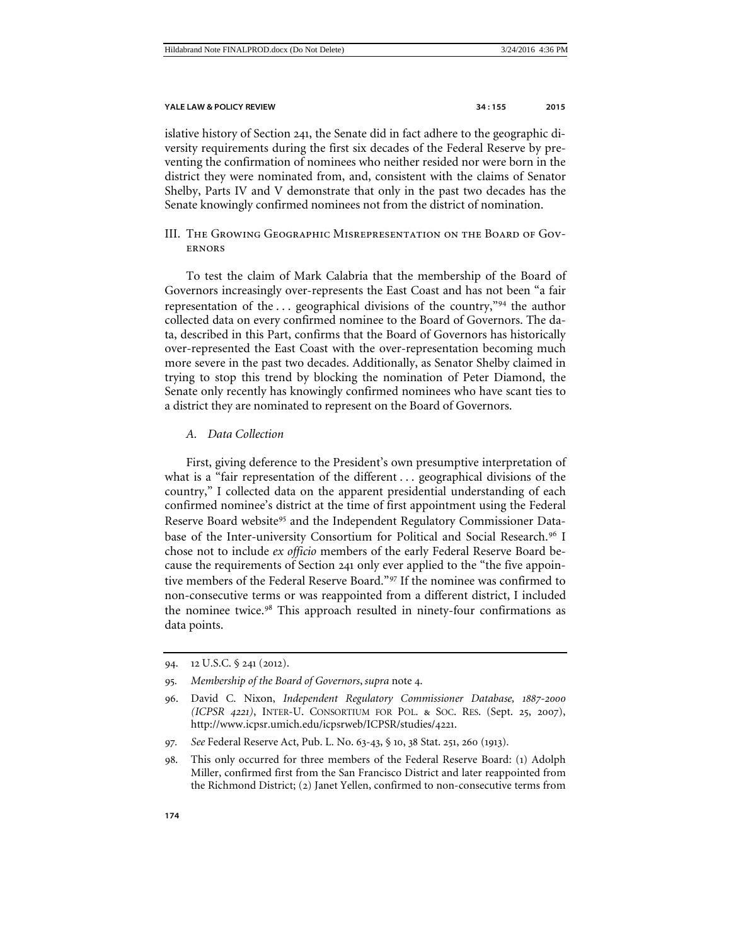islative history of Section 241, the Senate did in fact adhere to the geographic diversity requirements during the first six decades of the Federal Reserve by preventing the confirmation of nominees who neither resided nor were born in the district they were nominated from, and, consistent with the claims of Senator Shelby, Parts IV and V demonstrate that only in the past two decades has the Senate knowingly confirmed nominees not from the district of nomination.

<span id="page-19-0"></span>III. The Growing Geographic Misrepresentation on the Board of Governors

To test the claim of Mark Calabria that the membership of the Board of Governors increasingly over-represents the East Coast and has not been "a fair representation of the . . . geographical divisions of the country,"[94](#page-19-2) the author collected data on every confirmed nominee to the Board of Governors. The data, described in this Part, confirms that the Board of Governors has historically over-represented the East Coast with the over-representation becoming much more severe in the past two decades. Additionally, as Senator Shelby claimed in trying to stop this trend by blocking the nomination of Peter Diamond, the Senate only recently has knowingly confirmed nominees who have scant ties to a district they are nominated to represent on the Board of Governors.

#### <span id="page-19-1"></span>*A. Data Collection*

First, giving deference to the President's own presumptive interpretation of what is a "fair representation of the different . . . geographical divisions of the country," I collected data on the apparent presidential understanding of each confirmed nominee's district at the time of first appointment using the Federal Reserve Board website<sup>[95](#page-19-3)</sup> and the Independent Regulatory Commissioner Data-base of the Inter-university Consortium for Political and Social Research.<sup>[96](#page-19-4)</sup> I chose not to include *ex officio* members of the early Federal Reserve Board because the requirements of Section 241 only ever applied to the "the five appointive members of the Federal Reserve Board."[97](#page-19-5) If the nominee was confirmed to non-consecutive terms or was reappointed from a different district, I included the nominee twice.<sup>[98](#page-19-6)</sup> This approach resulted in ninety-four confirmations as data points.

- <span id="page-19-5"></span>97*. See* Federal Reserve Act, Pub. L. No. 63-43, § 10, 38 Stat. 251, 260 (1913).
- <span id="page-19-6"></span>98. This only occurred for three members of the Federal Reserve Board: (1) Adolph Miller, confirmed first from the San Francisco District and later reappointed from the Richmond District; (2) Janet Yellen, confirmed to non-consecutive terms from

<span id="page-19-2"></span><sup>94</sup>. 12 U.S.C. § 241 (2012).

<span id="page-19-3"></span><sup>95</sup>*. Membership of the Board of Governors*, *supra* note 4.

<span id="page-19-4"></span><sup>96</sup>. David C. Nixon, *Independent Regulatory Commissioner Database, 1887-2000 (ICPSR 4221)*, INTER-U. CONSORTIUM FOR POL. & SOC. RES. (Sept. 25, 2007), http://www.icpsr.umich.edu/icpsrweb/ICPSR/studies/4221.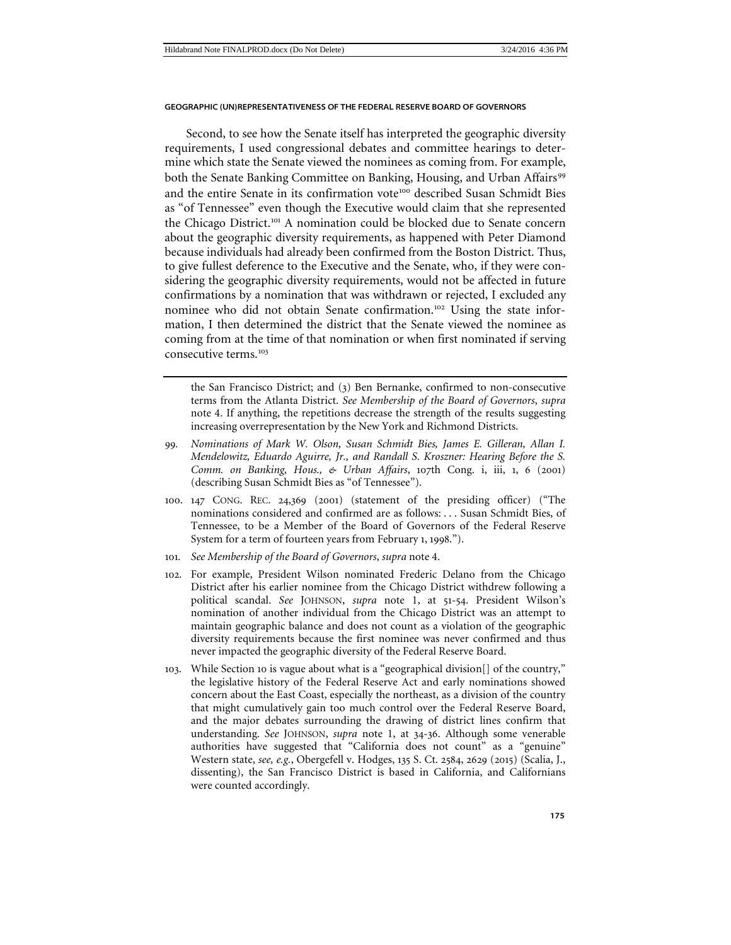Second, to see how the Senate itself has interpreted the geographic diversity requirements, I used congressional debates and committee hearings to determine which state the Senate viewed the nominees as coming from. For example, both the Senate Banking Committee on Banking, Housing, and Urban Affairs<sup>[99](#page-20-0)</sup> and the entire Senate in its confirmation vote<sup>[100](#page-20-1)</sup> described Susan Schmidt Bies as "of Tennessee" even though the Executive would claim that she represented the Chicago District.<sup>[101](#page-20-2)</sup> A nomination could be blocked due to Senate concern about the geographic diversity requirements, as happened with Peter Diamond because individuals had already been confirmed from the Boston District. Thus, to give fullest deference to the Executive and the Senate, who, if they were considering the geographic diversity requirements, would not be affected in future confirmations by a nomination that was withdrawn or rejected, I excluded any nominee who did not obtain Senate confirmation.<sup>[102](#page-20-3)</sup> Using the state information, I then determined the district that the Senate viewed the nominee as coming from at the time of that nomination or when first nominated if serving consecutive terms<sup>[103](#page-20-4)</sup>

the San Francisco District; and (3) Ben Bernanke, confirmed to non-consecutive terms from the Atlanta District. *See Membership of the Board of Governors*, *supra*  note [4.](#page-1-8) If anything, the repetitions decrease the strength of the results suggesting increasing overrepresentation by the New York and Richmond Districts.

- <span id="page-20-0"></span>99*. Nominations of Mark W. Olson, Susan Schmidt Bies, James E. Gilleran, Allan I. Mendelowitz, Eduardo Aguirre, Jr., and Randall S. Kroszner: Hearing Before the S. Comm. on Banking, Hous., & Urban Affairs*, 107th Cong. i, iii, 1, 6 (2001) (describing Susan Schmidt Bies as "of Tennessee").
- <span id="page-20-1"></span>100. 147 CONG. REC. 24,369 (2001) (statement of the presiding officer) ("The nominations considered and confirmed are as follows: . . . Susan Schmidt Bies, of Tennessee, to be a Member of the Board of Governors of the Federal Reserve System for a term of fourteen years from February 1, 1998.").
- <span id="page-20-2"></span>101*. See Membership of the Board of Governors*, *supra* note [4.](#page-1-8)
- <span id="page-20-3"></span>102. For example, President Wilson nominated Frederic Delano from the Chicago District after his earlier nominee from the Chicago District withdrew following a political scandal. *See* JOHNSON, *supra* note [1,](#page-1-7) at 51-54. President Wilson's nomination of another individual from the Chicago District was an attempt to maintain geographic balance and does not count as a violation of the geographic diversity requirements because the first nominee was never confirmed and thus never impacted the geographic diversity of the Federal Reserve Board.
- <span id="page-20-4"></span>103. While Section 10 is vague about what is a "geographical division[] of the country," the legislative history of the Federal Reserve Act and early nominations showed concern about the East Coast, especially the northeast, as a division of the country that might cumulatively gain too much control over the Federal Reserve Board, and the major debates surrounding the drawing of district lines confirm that understanding. *See* JOHNSON, *supra* note [1,](#page-1-7) at 34-36. Although some venerable authorities have suggested that "California does not count" as a "genuine" Western state, *see, e.g.*, Obergefell v. Hodges, 135 S. Ct. 2584, 2629 (2015) (Scalia, J., dissenting), the San Francisco District is based in California, and Californians were counted accordingly.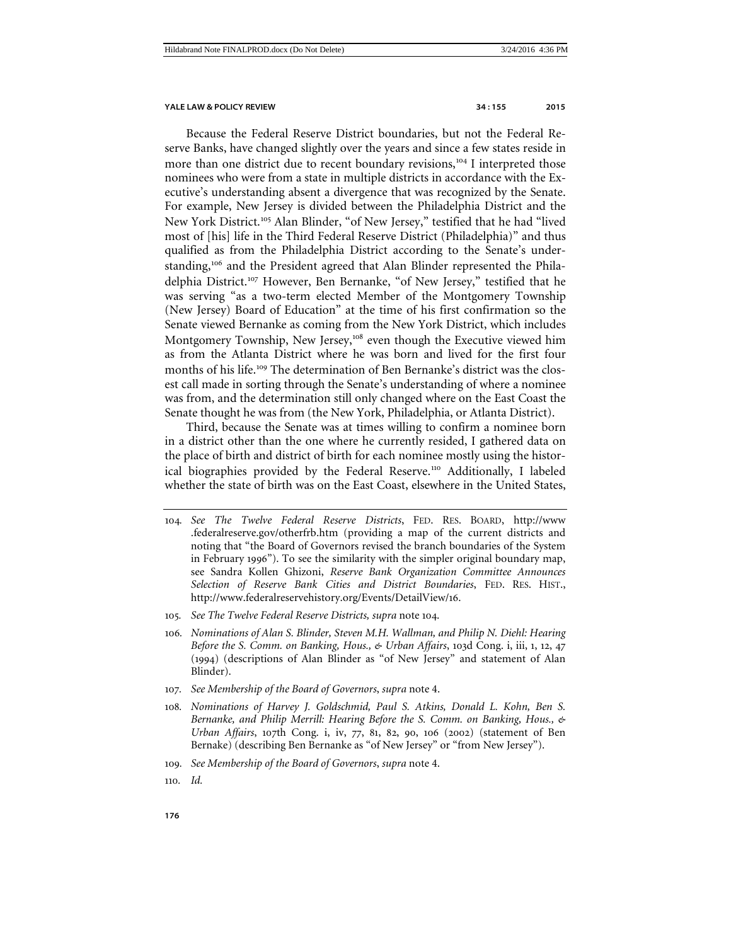Because the Federal Reserve District boundaries, but not the Federal Reserve Banks, have changed slightly over the years and since a few states reside in more than one district due to recent boundary revisions,<sup>[104](#page-21-0)</sup> I interpreted those nominees who were from a state in multiple districts in accordance with the Executive's understanding absent a divergence that was recognized by the Senate. For example, New Jersey is divided between the Philadelphia District and the New York District.<sup>[105](#page-21-1)</sup> Alan Blinder, "of New Jersey," testified that he had "lived most of [his] life in the Third Federal Reserve District (Philadelphia)" and thus qualified as from the Philadelphia District according to the Senate's under-standing,<sup>[106](#page-21-2)</sup> and the President agreed that Alan Blinder represented the Phila-delphia District.<sup>[107](#page-21-3)</sup> However, Ben Bernanke, "of New Jersey," testified that he was serving "as a two-term elected Member of the Montgomery Township (New Jersey) Board of Education" at the time of his first confirmation so the Senate viewed Bernanke as coming from the New York District, which includes Montgomery Township, New Jersey,<sup>[108](#page-21-4)</sup> even though the Executive viewed him as from the Atlanta District where he was born and lived for the first four months of his life.<sup>[109](#page-21-5)</sup> The determination of Ben Bernanke's district was the closest call made in sorting through the Senate's understanding of where a nominee was from, and the determination still only changed where on the East Coast the Senate thought he was from (the New York, Philadelphia, or Atlanta District).

Third, because the Senate was at times willing to confirm a nominee born in a district other than the one where he currently resided, I gathered data on the place of birth and district of birth for each nominee mostly using the histor-ical biographies provided by the Federal Reserve.<sup>[110](#page-21-6)</sup> Additionally, I labeled whether the state of birth was on the East Coast, elsewhere in the United States,

- <span id="page-21-0"></span>104*. See The Twelve Federal Reserve Districts*, FED. RES. BOARD, http://www .federalreserve.gov/otherfrb.htm (providing a map of the current districts and noting that "the Board of Governors revised the branch boundaries of the System in February 1996"). To see the similarity with the simpler original boundary map, see Sandra Kollen Ghizoni, *Reserve Bank Organization Committee Announces Selection of Reserve Bank Cities and District Boundaries*, FED. RES. HIST., http://www.federalreservehistory.org/Events/DetailView/16.
- <span id="page-21-1"></span>105*. See The Twelve Federal Reserve Districts, supra* note 104.
- <span id="page-21-2"></span>106*. Nominations of Alan S. Blinder, Steven M.H. Wallman, and Philip N. Diehl: Hearing Before the S. Comm. on Banking, Hous., & Urban Affairs*, 103d Cong. i, iii, 1, 12, 47 (1994) (descriptions of Alan Blinder as "of New Jersey" and statement of Alan Blinder).
- <span id="page-21-3"></span>107*. See Membership of the Board of Governors*, *supra* note [4.](#page-1-8)
- <span id="page-21-4"></span>108*. Nominations of Harvey J. Goldschmid, Paul S. Atkins, Donald L. Kohn, Ben S. Bernanke, and Philip Merrill: Hearing Before the S. Comm. on Banking, Hous., & Urban Affairs*, 107th Cong. i, iv, 77, 81, 82, 90, 106 (2002) (statement of Ben Bernake) (describing Ben Bernanke as "of New Jersey" or "from New Jersey").
- <span id="page-21-5"></span>109*. See Membership of the Board of Governors*, *supra* note [4.](#page-1-8)
- <span id="page-21-6"></span>110*. Id.*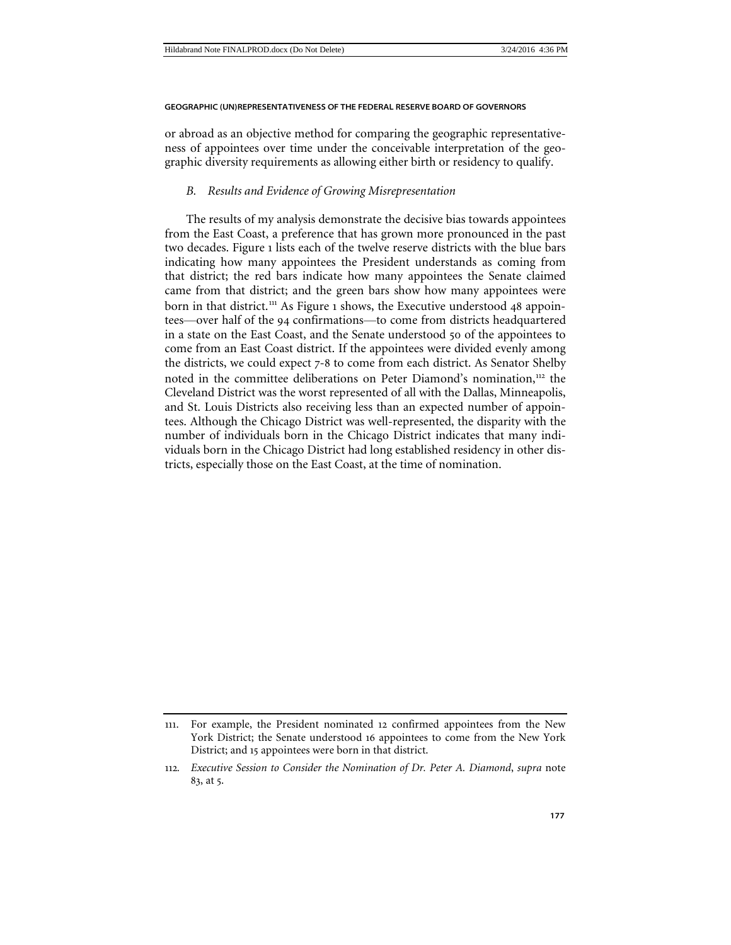or abroad as an objective method for comparing the geographic representativeness of appointees over time under the conceivable interpretation of the geographic diversity requirements as allowing either birth or residency to qualify.

#### <span id="page-22-0"></span>*B. Results and Evidence of Growing Misrepresentation*

The results of my analysis demonstrate the decisive bias towards appointees from the East Coast, a preference that has grown more pronounced in the past two decades. Figure 1 lists each of the twelve reserve districts with the blue bars indicating how many appointees the President understands as coming from that district; the red bars indicate how many appointees the Senate claimed came from that district; and the green bars show how many appointees were born in that district.<sup>[111](#page-22-1)</sup> As Figure 1 shows, the Executive understood 48 appointees—over half of the 94 confirmations—to come from districts headquartered in a state on the East Coast, and the Senate understood 50 of the appointees to come from an East Coast district. If the appointees were divided evenly among the districts, we could expect 7-8 to come from each district. As Senator Shelby noted in the committee deliberations on Peter Diamond's nomination,<sup>[112](#page-22-2)</sup> the Cleveland District was the worst represented of all with the Dallas, Minneapolis, and St. Louis Districts also receiving less than an expected number of appointees. Although the Chicago District was well-represented, the disparity with the number of individuals born in the Chicago District indicates that many individuals born in the Chicago District had long established residency in other districts, especially those on the East Coast, at the time of nomination.

<span id="page-22-1"></span><sup>111</sup>. For example, the President nominated 12 confirmed appointees from the New York District; the Senate understood 16 appointees to come from the New York District; and 15 appointees were born in that district.

<span id="page-22-2"></span><sup>112</sup>*. Executive Session to Consider the Nomination of Dr. Peter A. Diamond*, *supra* note 83, at 5.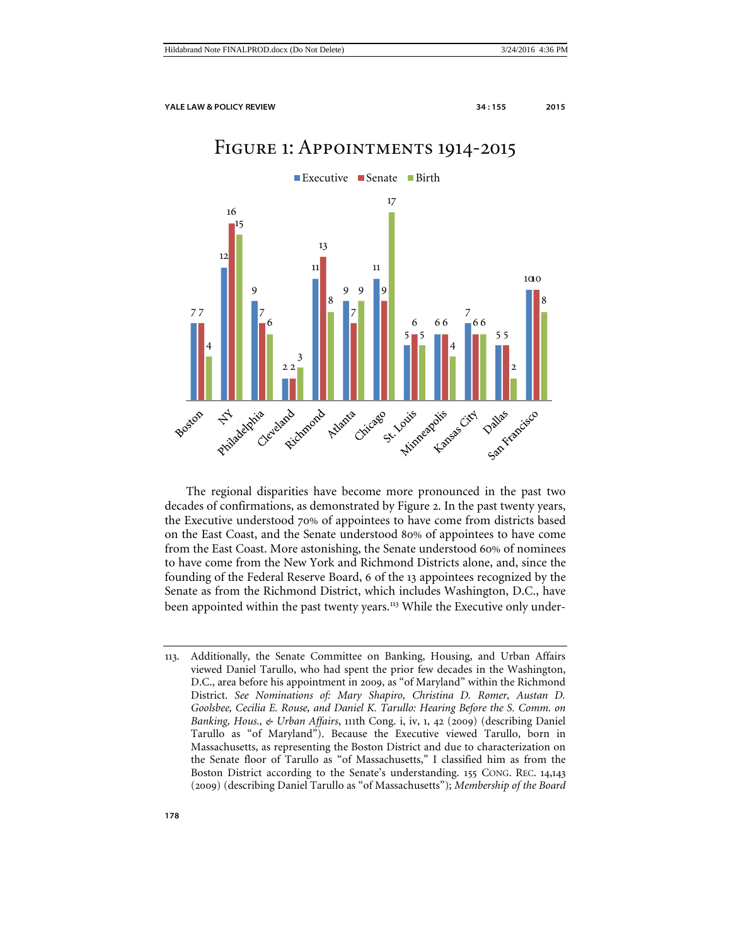# Figure 1: Appointments 1914-2015



The regional disparities have become more pronounced in the past two decades of confirmations, as demonstrated by Figure 2. In the past twenty years, the Executive understood 70% of appointees to have come from districts based on the East Coast, and the Senate understood 80% of appointees to have come from the East Coast. More astonishing, the Senate understood 60% of nominees to have come from the New York and Richmond Districts alone, and, since the founding of the Federal Reserve Board, 6 of the 13 appointees recognized by the Senate as from the Richmond District, which includes Washington, D.C., have been appointed within the past twenty years.<sup>[113](#page-23-0)</sup> While the Executive only under-

<span id="page-23-0"></span><sup>113</sup>. Additionally, the Senate Committee on Banking, Housing, and Urban Affairs viewed Daniel Tarullo, who had spent the prior few decades in the Washington, D.C., area before his appointment in 2009, as "of Maryland" within the Richmond District. *See Nominations of: Mary Shapiro, Christina D. Romer, Austan D. Goolsbee, Cecilia E. Rouse, and Daniel K. Tarullo: Hearing Before the S. Comm. on Banking, Hous., & Urban Affairs*, 111th Cong. i, iv, 1, 42 (2009) (describing Daniel Tarullo as "of Maryland"). Because the Executive viewed Tarullo, born in Massachusetts, as representing the Boston District and due to characterization on the Senate floor of Tarullo as "of Massachusetts," I classified him as from the Boston District according to the Senate's understanding. 155 CONG. REC. 14,143 (2009) (describing Daniel Tarullo as "of Massachusetts"); *Membership of the Board*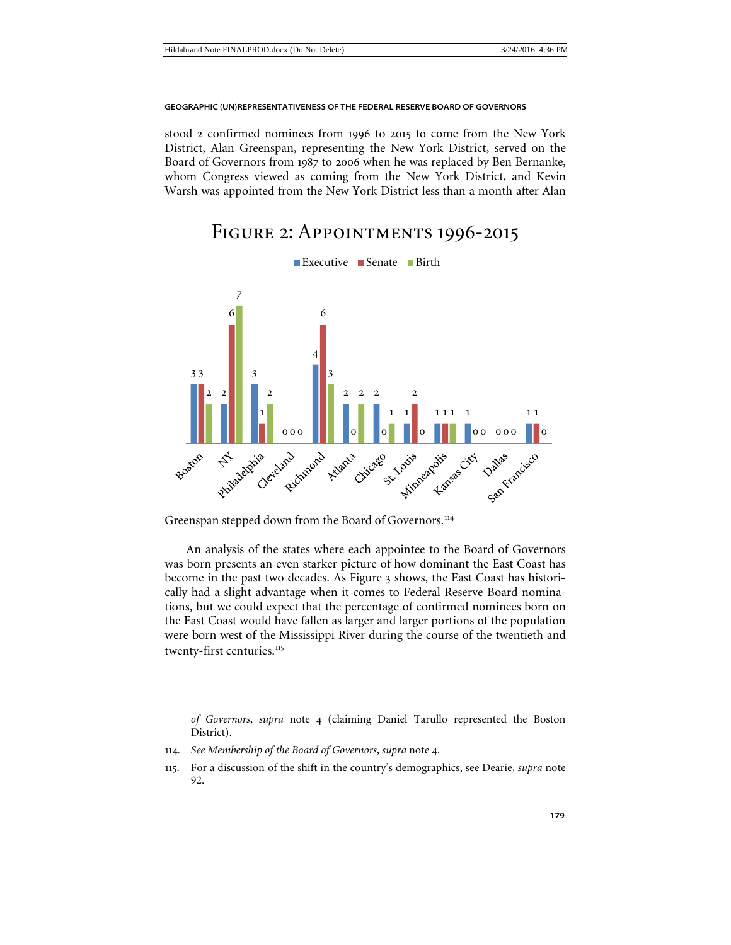stood 2 confirmed nominees from 1996 to 2015 to come from the New York District, Alan Greenspan, representing the New York District, served on the Board of Governors from 1987 to 2006 when he was replaced by Ben Bernanke, whom Congress viewed as coming from the New York District, and Kevin Warsh was appointed from the New York District less than a month after Alan

# Figure 2: Appointments 1996-2015



Greenspan stepped down from the Board of Governors.<sup>[114](#page-24-0)</sup>

An analysis of the states where each appointee to the Board of Governors was born presents an even starker picture of how dominant the East Coast has become in the past two decades. As Figure 3 shows, the East Coast has historically had a slight advantage when it comes to Federal Reserve Board nominations, but we could expect that the percentage of confirmed nominees born on the East Coast would have fallen as larger and larger portions of the population were born west of the Mississippi River during the course of the twentieth and twenty-first centuries.<sup>[115](#page-24-1)</sup>

*of Governors*, *supra* note 4 (claiming Daniel Tarullo represented the Boston District).

<span id="page-24-0"></span><sup>114</sup>*. See Membership of the Board of Governors*, *supra* note 4.

<span id="page-24-1"></span><sup>115</sup>. For a discussion of the shift in the country's demographics, see Dearie, *supra* note [92.](#page-18-5)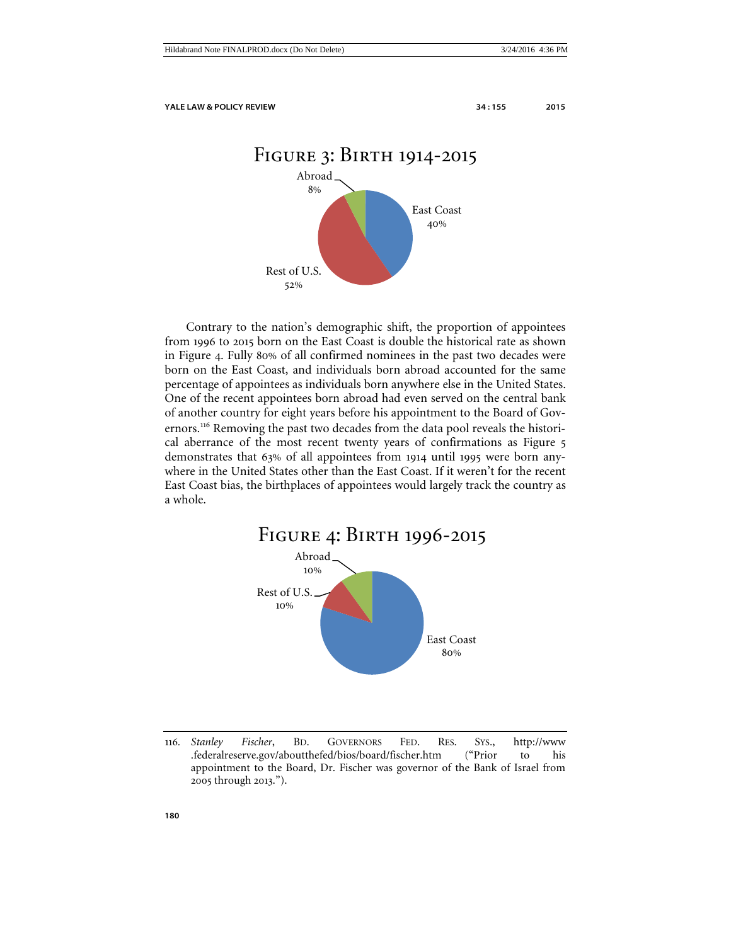



Contrary to the nation's demographic shift, the proportion of appointees from 1996 to 2015 born on the East Coast is double the historical rate as shown in Figure 4. Fully 80% of all confirmed nominees in the past two decades were born on the East Coast, and individuals born abroad accounted for the same percentage of appointees as individuals born anywhere else in the United States. One of the recent appointees born abroad had even served on the central bank of another country for eight years before his appointment to the Board of Gov-ernors.<sup>[116](#page-25-0)</sup> Removing the past two decades from the data pool reveals the historical aberrance of the most recent twenty years of confirmations as Figure 5 demonstrates that 63% of all appointees from 1914 until 1995 were born anywhere in the United States other than the East Coast. If it weren't for the recent East Coast bias, the birthplaces of appointees would largely track the country as a whole.



<span id="page-25-0"></span><sup>116</sup>*. Stanley Fischer*, BD. GOVERNORS FED. RES. SYS., http://www .federalreserve.gov/aboutthefed/bios/board/fischer.htm ("Prior to his appointment to the Board, Dr. Fischer was governor of the Bank of Israel from 2005 through 2013.").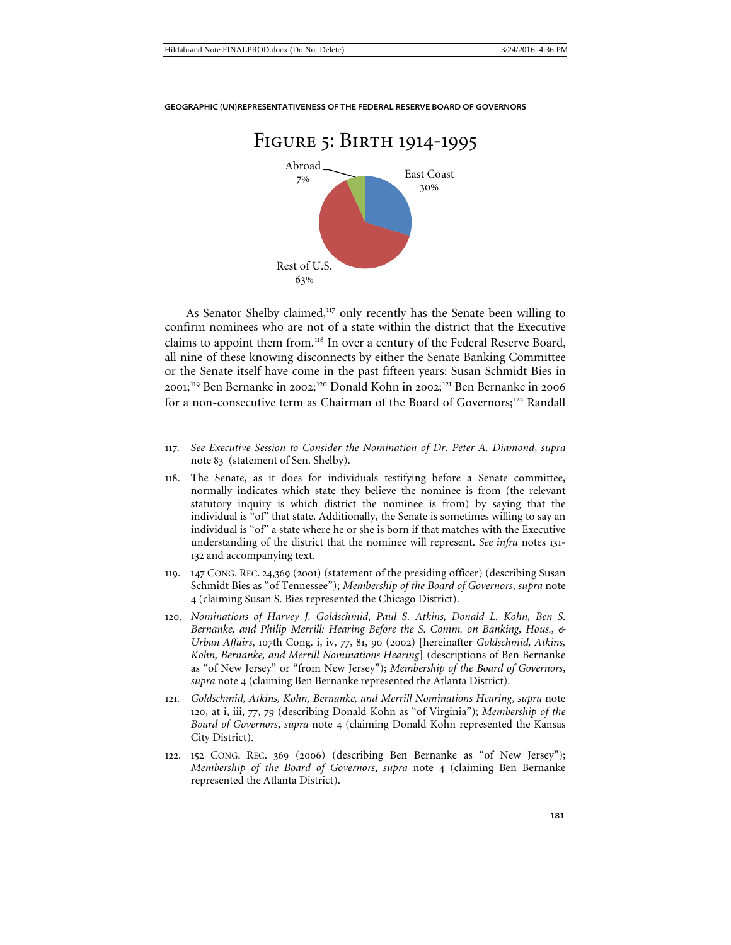

As Senator Shelby claimed,<sup>[117](#page-26-1)</sup> only recently has the Senate been willing to confirm nominees who are not of a state within the district that the Executive claims to appoint them from.<sup>[118](#page-26-2)</sup> In over a century of the Federal Reserve Board, all nine of these knowing disconnects by either the Senate Banking Committee or the Senate itself have come in the past fifteen years: Susan Schmidt Bies in 2001;<sup>[119](#page-26-3)</sup> Ben Bernanke in 2002;<sup>[120](#page-26-4)</sup> Donald Kohn in 2002;<sup>[121](#page-26-5)</sup> Ben Bernanke in 2006 for a non-consecutive term as Chairman of the Board of Governors;<sup>[122](#page-26-6)</sup> Randall

- <span id="page-26-2"></span>118. The Senate, as it does for individuals testifying before a Senate committee, normally indicates which state they believe the nominee is from (the relevant statutory inquiry is which district the nominee is from) by saying that the individual is "of" that state. Additionally, the Senate is sometimes willing to say an individual is "of" a state where he or she is born if that matches with the Executive understanding of the district that the nominee will represent. *See infra* notes 131- 132 and accompanying text.
- <span id="page-26-3"></span>119. 147 CONG. REC. 24,369 (2001) (statement of the presiding officer) (describing Susan Schmidt Bies as "of Tennessee"); *Membership of the Board of Governors*, *supra* note 4 (claiming Susan S. Bies represented the Chicago District).
- <span id="page-26-4"></span>120*. Nominations of Harvey J. Goldschmid, Paul S. Atkins, Donald L. Kohn, Ben S. Bernanke, and Philip Merrill: Hearing Before the S. Comm. on Banking, Hous., & Urban Affairs*, 107th Cong. i, iv, 77, 81, 90 (2002) [hereinafter *Goldschmid, Atkins, Kohn, Bernanke, and Merrill Nominations Hearing*] (descriptions of Ben Bernanke as "of New Jersey" or "from New Jersey"); *Membership of the Board of Governors*, *supra* note 4 (claiming Ben Bernanke represented the Atlanta District).
- <span id="page-26-5"></span>121*. Goldschmid, Atkins, Kohn, Bernanke, and Merrill Nominations Hearing*, *supra* note [120](#page-26-0), at i, iii, 77, 79 (describing Donald Kohn as "of Virginia"); *Membership of the Board of Governors*, *supra* note 4 (claiming Donald Kohn represented the Kansas City District).
- <span id="page-26-6"></span>122. 152 CONG. REC. 369 (2006) (describing Ben Bernanke as "of New Jersey"); *Membership of the Board of Governors*, *supra* note 4 (claiming Ben Bernanke represented the Atlanta District).

<span id="page-26-1"></span><span id="page-26-0"></span><sup>117</sup>*. See Executive Session to Consider the Nomination of Dr. Peter A. Diamond*, *supra*  note 83 (statement of Sen. Shelby).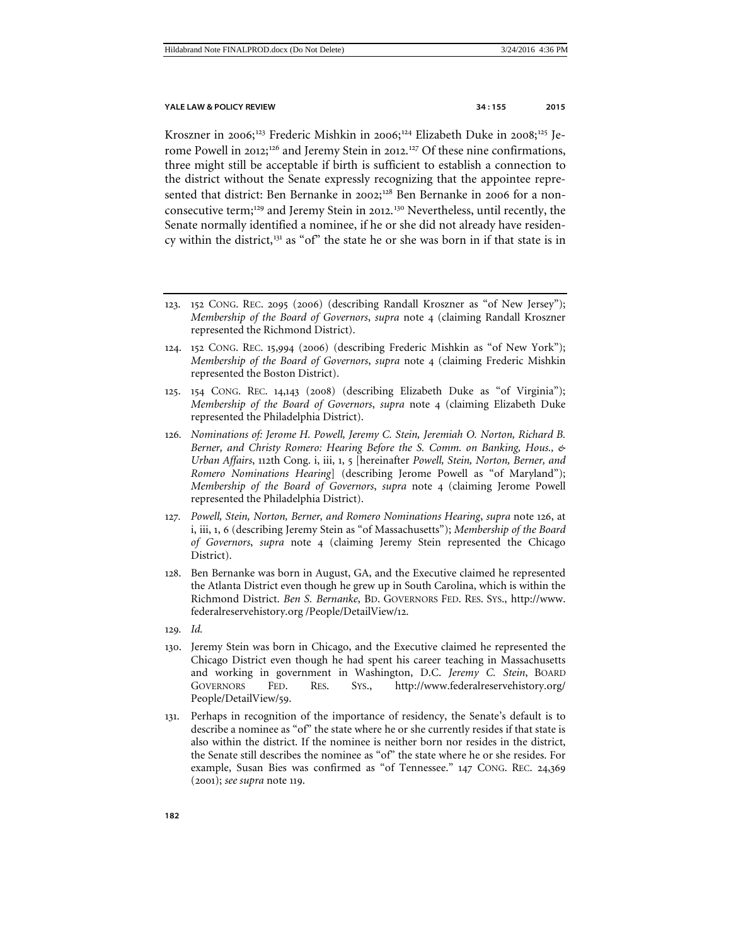<span id="page-27-0"></span>Kroszner in 2006;<sup>[123](#page-27-1)</sup> Frederic Mishkin in 2006;<sup>[124](#page-27-2)</sup> Elizabeth Duke in 2008;<sup>[125](#page-27-3)</sup> Je-rome Powell in 2012;<sup>[126](#page-27-4)</sup> and Jeremy Stein in 2012.<sup>[127](#page-27-5)</sup> Of these nine confirmations, three might still be acceptable if birth is sufficient to establish a connection to the district without the Senate expressly recognizing that the appointee repre-sented that district: Ben Bernanke in 2002;<sup>[128](#page-27-6)</sup> Ben Bernanke in 2006 for a non-consecutive term;<sup>[129](#page-27-7)</sup> and Jeremy Stein in 2012.<sup>[130](#page-27-8)</sup> Nevertheless, until recently, the Senate normally identified a nominee, if he or she did not already have residen-cy within the district,<sup>[131](#page-27-9)</sup> as "of" the state he or she was born in if that state is in

- <span id="page-27-1"></span>123. 152 CONG. REC. 2095 (2006) (describing Randall Kroszner as "of New Jersey"); *Membership of the Board of Governors*, *supra* note 4 (claiming Randall Kroszner represented the Richmond District).
- <span id="page-27-2"></span>124. 152 CONG. REC. 15,994 (2006) (describing Frederic Mishkin as "of New York"); *Membership of the Board of Governors*, *supra* note 4 (claiming Frederic Mishkin represented the Boston District).
- <span id="page-27-3"></span>125. 154 CONG. REC. 14,143 (2008) (describing Elizabeth Duke as "of Virginia"); *Membership of the Board of Governors*, *supra* note 4 (claiming Elizabeth Duke represented the Philadelphia District).
- <span id="page-27-4"></span>126*. Nominations of: Jerome H. Powell, Jeremy C. Stein, Jeremiah O. Norton, Richard B. Berner, and Christy Romero: Hearing Before the S. Comm. on Banking, Hous., & Urban Affairs*, 112th Cong. i, iii, 1, 5 [hereinafter *Powell, Stein, Norton, Berner, and Romero Nominations Hearing*] (describing Jerome Powell as "of Maryland"); *Membership of the Board of Governors*, *supra* note 4 (claiming Jerome Powell represented the Philadelphia District).
- <span id="page-27-5"></span>127*. Powell, Stein, Norton, Berner, and Romero Nominations Hearing*, *supra* note [126,](#page-27-0) at i, iii, 1, 6 (describing Jeremy Stein as "of Massachusetts"); *Membership of the Board of Governors*, *supra* note 4 (claiming Jeremy Stein represented the Chicago District).
- <span id="page-27-6"></span>128. Ben Bernanke was born in August, GA, and the Executive claimed he represented the Atlanta District even though he grew up in South Carolina, which is within the Richmond District. *Ben S. Bernanke*, BD. GOVERNORS FED. RES. SYS., http://www. federalreservehistory.org /People/DetailView/12.
- <span id="page-27-7"></span>129*. Id.*
- <span id="page-27-8"></span>130. Jeremy Stein was born in Chicago, and the Executive claimed he represented the Chicago District even though he had spent his career teaching in Massachusetts and working in government in Washington, D.C. *Jeremy C. Stein*, BOARD GOVERNORS FED. RES. SYS., http://www.federalreservehistory.org/ People/DetailView/59.
- <span id="page-27-9"></span>131. Perhaps in recognition of the importance of residency, the Senate's default is to describe a nominee as "of" the state where he or she currently resides if that state is also within the district. If the nominee is neither born nor resides in the district, the Senate still describes the nominee as "of" the state where he or she resides. For example, Susan Bies was confirmed as "of Tennessee." 147 CONG. REC. 24,369 (2001); *see supra* note 119.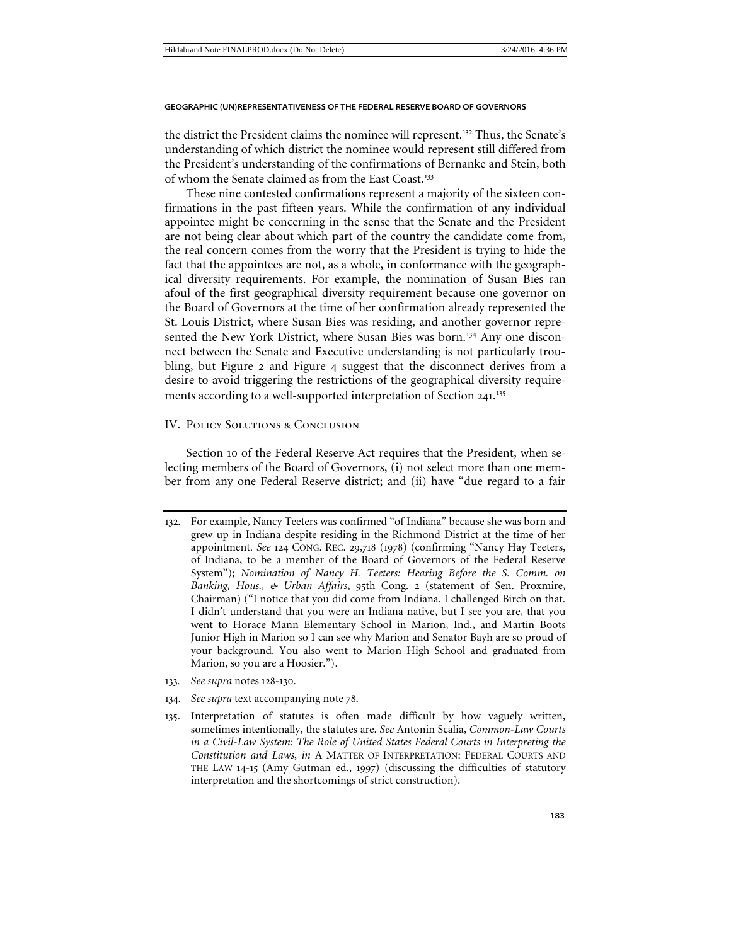the district the President claims the nominee will represent.[132](#page-28-1) Thus, the Senate's understanding of which district the nominee would represent still differed from the President's understanding of the confirmations of Bernanke and Stein, both of whom the Senate claimed as from the East Coast.<sup>[133](#page-28-2)</sup>

These nine contested confirmations represent a majority of the sixteen confirmations in the past fifteen years. While the confirmation of any individual appointee might be concerning in the sense that the Senate and the President are not being clear about which part of the country the candidate come from, the real concern comes from the worry that the President is trying to hide the fact that the appointees are not, as a whole, in conformance with the geographical diversity requirements. For example, the nomination of Susan Bies ran afoul of the first geographical diversity requirement because one governor on the Board of Governors at the time of her confirmation already represented the St. Louis District, where Susan Bies was residing, and another governor repre-sented the New York District, where Susan Bies was born.<sup>[134](#page-28-3)</sup> Any one disconnect between the Senate and Executive understanding is not particularly troubling, but Figure 2 and Figure 4 suggest that the disconnect derives from a desire to avoid triggering the restrictions of the geographical diversity require-ments according to a well-supported interpretation of Section 241.<sup>[135](#page-28-4)</sup>

### <span id="page-28-0"></span>IV. Policy Solutions & Conclusion

Section 10 of the Federal Reserve Act requires that the President, when selecting members of the Board of Governors, (i) not select more than one member from any one Federal Reserve district; and (ii) have "due regard to a fair

- <span id="page-28-2"></span>133*. See supra* notes 128-130.
- <span id="page-28-3"></span>134*. See supra* text accompanying note 78.
- <span id="page-28-4"></span>135. Interpretation of statutes is often made difficult by how vaguely written, sometimes intentionally, the statutes are. *See* Antonin Scalia, *Common-Law Courts in a Civil-Law System: The Role of United States Federal Courts in Interpreting the Constitution and Laws*, *in* A MATTER OF INTERPRETATION: FEDERAL COURTS AND THE LAW 14-15 (Amy Gutman ed., 1997) (discussing the difficulties of statutory interpretation and the shortcomings of strict construction).

<span id="page-28-1"></span><sup>132</sup>. For example, Nancy Teeters was confirmed "of Indiana" because she was born and grew up in Indiana despite residing in the Richmond District at the time of her appointment. *See* 124 CONG. REC. 29,718 (1978) (confirming "Nancy Hay Teeters, of Indiana, to be a member of the Board of Governors of the Federal Reserve System"); *Nomination of Nancy H. Teeters: Hearing Before the S. Comm. on Banking, Hous., & Urban Affairs*, 95th Cong. 2 (statement of Sen. Proxmire, Chairman) ("I notice that you did come from Indiana. I challenged Birch on that. I didn't understand that you were an Indiana native, but I see you are, that you went to Horace Mann Elementary School in Marion, Ind., and Martin Boots Junior High in Marion so I can see why Marion and Senator Bayh are so proud of your background. You also went to Marion High School and graduated from Marion, so you are a Hoosier.").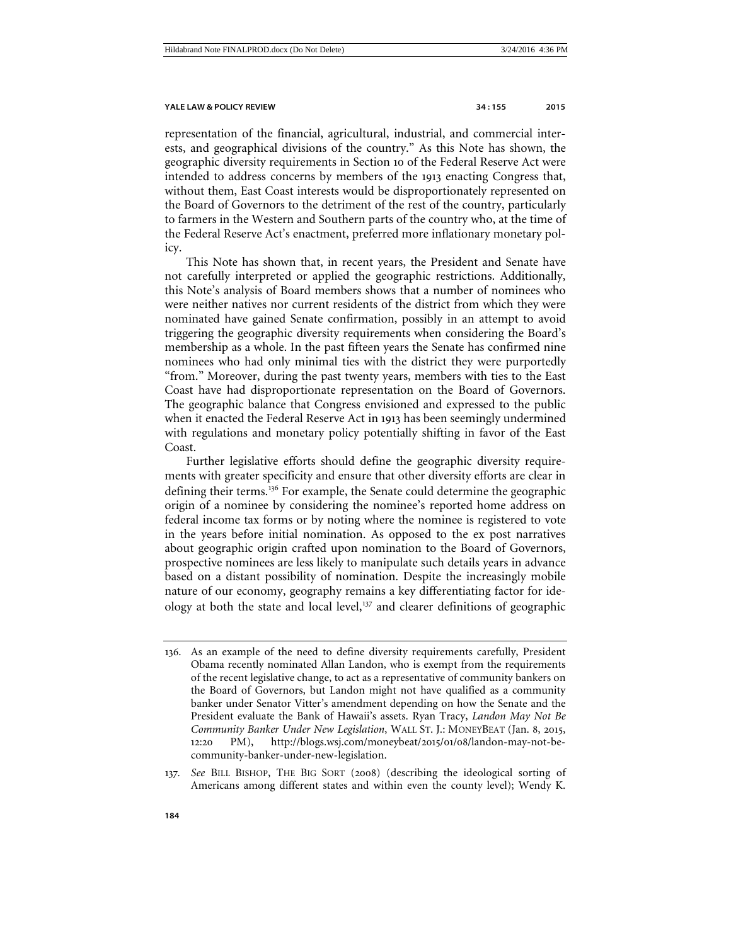representation of the financial, agricultural, industrial, and commercial interests, and geographical divisions of the country." As this Note has shown, the geographic diversity requirements in Section 10 of the Federal Reserve Act were intended to address concerns by members of the 1913 enacting Congress that, without them, East Coast interests would be disproportionately represented on the Board of Governors to the detriment of the rest of the country, particularly to farmers in the Western and Southern parts of the country who, at the time of the Federal Reserve Act's enactment, preferred more inflationary monetary policy.

This Note has shown that, in recent years, the President and Senate have not carefully interpreted or applied the geographic restrictions. Additionally, this Note's analysis of Board members shows that a number of nominees who were neither natives nor current residents of the district from which they were nominated have gained Senate confirmation, possibly in an attempt to avoid triggering the geographic diversity requirements when considering the Board's membership as a whole. In the past fifteen years the Senate has confirmed nine nominees who had only minimal ties with the district they were purportedly "from." Moreover, during the past twenty years, members with ties to the East Coast have had disproportionate representation on the Board of Governors. The geographic balance that Congress envisioned and expressed to the public when it enacted the Federal Reserve Act in 1913 has been seemingly undermined with regulations and monetary policy potentially shifting in favor of the East Coast.

Further legislative efforts should define the geographic diversity requirements with greater specificity and ensure that other diversity efforts are clear in defining their terms.[136](#page-29-0) For example, the Senate could determine the geographic origin of a nominee by considering the nominee's reported home address on federal income tax forms or by noting where the nominee is registered to vote in the years before initial nomination. As opposed to the ex post narratives about geographic origin crafted upon nomination to the Board of Governors, prospective nominees are less likely to manipulate such details years in advance based on a distant possibility of nomination. Despite the increasingly mobile nature of our economy, geography remains a key differentiating factor for ideology at both the state and local level, $^{137}$  $^{137}$  $^{137}$  and clearer definitions of geographic

<span id="page-29-0"></span><sup>136</sup>. As an example of the need to define diversity requirements carefully, President Obama recently nominated Allan Landon, who is exempt from the requirements of the recent legislative change, to act as a representative of community bankers on the Board of Governors, but Landon might not have qualified as a community banker under Senator Vitter's amendment depending on how the Senate and the President evaluate the Bank of Hawaii's assets. Ryan Tracy, *Landon May Not Be Community Banker Under New Legislation*, WALL ST. J.: MONEYBEAT (Jan. 8, 2015, 12:20 PM), http://blogs.wsj.com/moneybeat/2015/01/08/landon-may-not-becommunity-banker-under-new-legislation.

<span id="page-29-1"></span><sup>137</sup>*. See* BILL BISHOP, THE BIG SORT (2008) (describing the ideological sorting of Americans among different states and within even the county level); Wendy K.